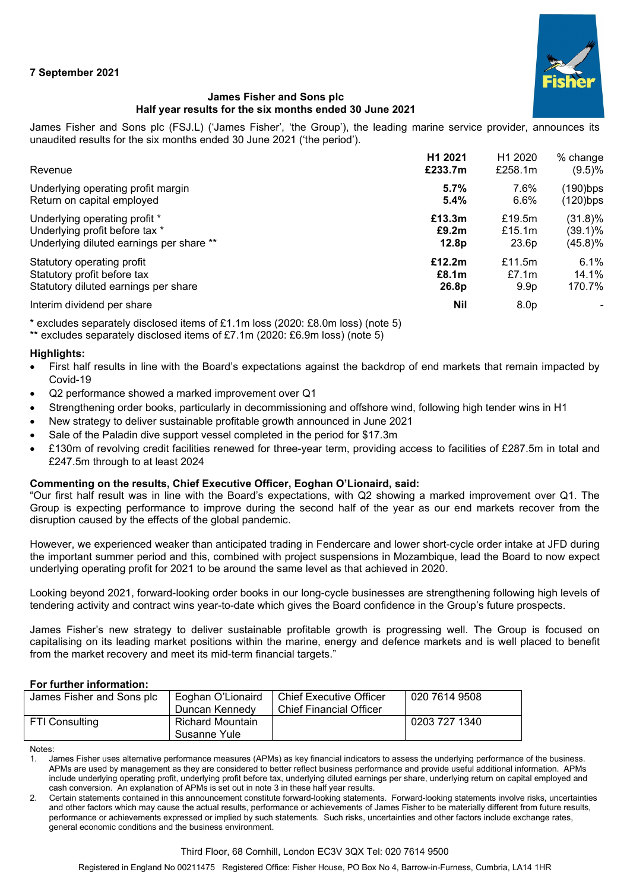

# **James Fisher and Sons plc Half year results for the six months ended 30 June 2021**

James Fisher and Sons plc (FSJ.L) ('James Fisher', 'the Group'), the leading marine service provider, announces its unaudited results for the six months ended 30 June 2021 ('the period').

| Revenue                                  | H1 2021           | H <sub>1</sub> 2020 | % change    |
|------------------------------------------|-------------------|---------------------|-------------|
|                                          | £233.7m           | £258.1m             | (9.5)%      |
| Underlying operating profit margin       | 5.7%              | 7.6%                | $(190)$ bps |
| Return on capital employed               | 5.4%              | 6.6%                | (120)bps    |
| Underlying operating profit *            | £13.3m            | £19.5m              | $(31.8)\%$  |
| Underlying profit before tax *           | £9.2m             | £15.1 $m$           | (39.1)%     |
| Underlying diluted earnings per share ** | 12.8p             | 23.6p               | (45.8)%     |
| Statutory operating profit               | £12.2m            | £11.5 $m$           | 6.1%        |
| Statutory profit before tax              | £8.1 <sub>m</sub> | £7.1 $m$            | 14.1%       |
| Statutory diluted earnings per share     | 26.8p             | 9.9 <sub>p</sub>    | 170.7%      |
| Interim dividend per share               | <b>Nil</b>        | 8.0 <sub>p</sub>    |             |

\* excludes separately disclosed items of £1.1m loss (2020: £8.0m loss) (note 5)

\*\* excludes separately disclosed items of £7.1m (2020: £6.9m loss) (note 5)

## **Highlights:**

- First half results in line with the Board's expectations against the backdrop of end markets that remain impacted by Covid-19
- Q2 performance showed a marked improvement over Q1
- Strengthening order books, particularly in decommissioning and offshore wind, following high tender wins in H1
- New strategy to deliver sustainable profitable growth announced in June 2021
- Sale of the Paladin dive support vessel completed in the period for \$17.3m
- £130m of revolving credit facilities renewed for three-year term, providing access to facilities of £287.5m in total and £247.5m through to at least 2024

# **Commenting on the results, Chief Executive Officer, Eoghan O'Lionaird, said:**

"Our first half result was in line with the Board's expectations, with Q2 showing a marked improvement over Q1. The Group is expecting performance to improve during the second half of the year as our end markets recover from the disruption caused by the effects of the global pandemic.

However, we experienced weaker than anticipated trading in Fendercare and lower short-cycle order intake at JFD during the important summer period and this, combined with project suspensions in Mozambique, lead the Board to now expect underlying operating profit for 2021 to be around the same level as that achieved in 2020.

Looking beyond 2021, forward-looking order books in our long-cycle businesses are strengthening following high levels of tendering activity and contract wins year-to-date which gives the Board confidence in the Group's future prospects.

James Fisher's new strategy to deliver sustainable profitable growth is progressing well. The Group is focused on capitalising on its leading market positions within the marine, energy and defence markets and is well placed to benefit from the market recovery and meet its mid-term financial targets."

# **For further information:**

| James Fisher and Sons plc | Eoghan O'Lionaird<br>Duncan Kennedv | <b>Chief Executive Officer</b><br><b>Chief Financial Officer</b> | 020 7614 9508 |
|---------------------------|-------------------------------------|------------------------------------------------------------------|---------------|
| FTI Consulting            | Richard Mountain<br>Susanne Yule    |                                                                  | 0203 727 1340 |

Notes:

1. James Fisher uses alternative performance measures (APMs) as key financial indicators to assess the underlying performance of the business. APMs are used by management as they are considered to better reflect business performance and provide useful additional information. APMs include underlying operating profit, underlying profit before tax, underlying diluted earnings per share, underlying return on capital employed and cash conversion. An explanation of APMs is set out in note 3 in these half year results.

2. Certain statements contained in this announcement constitute forward-looking statements. Forward-looking statements involve risks, uncertainties and other factors which may cause the actual results, performance or achievements of James Fisher to be materially different from future results, performance or achievements expressed or implied by such statements. Such risks, uncertainties and other factors include exchange rates, general economic conditions and the business environment.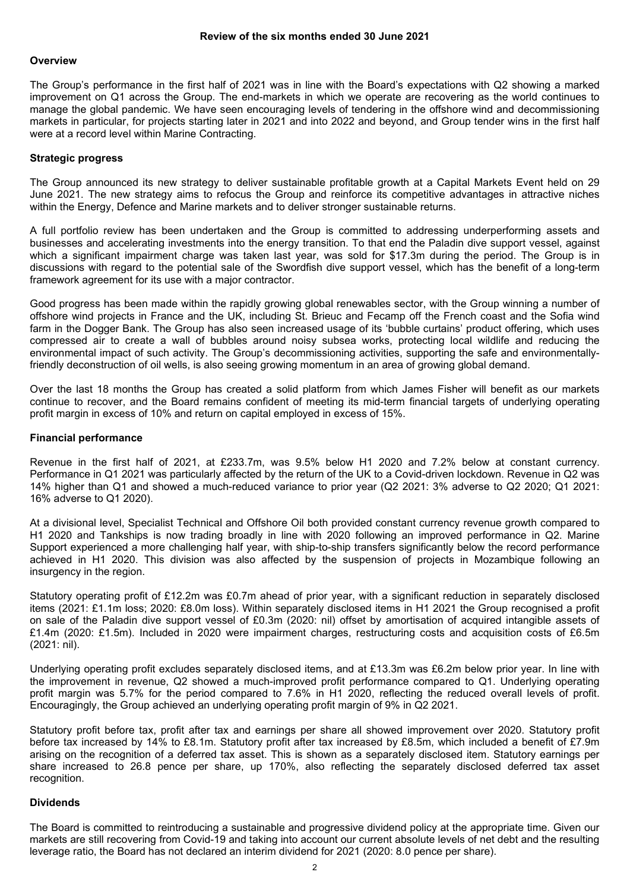#### **Overview**

The Group's performance in the first half of 2021 was in line with the Board's expectations with Q2 showing a marked improvement on Q1 across the Group. The end-markets in which we operate are recovering as the world continues to manage the global pandemic. We have seen encouraging levels of tendering in the offshore wind and decommissioning markets in particular, for projects starting later in 2021 and into 2022 and beyond, and Group tender wins in the first half were at a record level within Marine Contracting.

#### **Strategic progress**

The Group announced its new strategy to deliver sustainable profitable growth at a Capital Markets Event held on 29 June 2021. The new strategy aims to refocus the Group and reinforce its competitive advantages in attractive niches within the Energy, Defence and Marine markets and to deliver stronger sustainable returns.

A full portfolio review has been undertaken and the Group is committed to addressing underperforming assets and businesses and accelerating investments into the energy transition. To that end the Paladin dive support vessel, against which a significant impairment charge was taken last year, was sold for \$17.3m during the period. The Group is in discussions with regard to the potential sale of the Swordfish dive support vessel, which has the benefit of a long-term framework agreement for its use with a major contractor.

Good progress has been made within the rapidly growing global renewables sector, with the Group winning a number of offshore wind projects in France and the UK, including St. Brieuc and Fecamp off the French coast and the Sofia wind farm in the Dogger Bank. The Group has also seen increased usage of its 'bubble curtains' product offering, which uses compressed air to create a wall of bubbles around noisy subsea works, protecting local wildlife and reducing the environmental impact of such activity. The Group's decommissioning activities, supporting the safe and environmentallyfriendly deconstruction of oil wells, is also seeing growing momentum in an area of growing global demand.

Over the last 18 months the Group has created a solid platform from which James Fisher will benefit as our markets continue to recover, and the Board remains confident of meeting its mid-term financial targets of underlying operating profit margin in excess of 10% and return on capital employed in excess of 15%.

## **Financial performance**

Revenue in the first half of 2021, at £233.7m, was 9.5% below H1 2020 and 7.2% below at constant currency. Performance in Q1 2021 was particularly affected by the return of the UK to a Covid-driven lockdown. Revenue in Q2 was 14% higher than Q1 and showed a much-reduced variance to prior year (Q2 2021: 3% adverse to Q2 2020; Q1 2021: 16% adverse to Q1 2020).

At a divisional level, Specialist Technical and Offshore Oil both provided constant currency revenue growth compared to H1 2020 and Tankships is now trading broadly in line with 2020 following an improved performance in Q2. Marine Support experienced a more challenging half year, with ship-to-ship transfers significantly below the record performance achieved in H1 2020. This division was also affected by the suspension of projects in Mozambique following an insurgency in the region.

Statutory operating profit of £12.2m was £0.7m ahead of prior year, with a significant reduction in separately disclosed items (2021: £1.1m loss; 2020: £8.0m loss). Within separately disclosed items in H1 2021 the Group recognised a profit on sale of the Paladin dive support vessel of £0.3m (2020: nil) offset by amortisation of acquired intangible assets of £1.4m (2020: £1.5m). Included in 2020 were impairment charges, restructuring costs and acquisition costs of £6.5m (2021: nil).

Underlying operating profit excludes separately disclosed items, and at £13.3m was £6.2m below prior year. In line with the improvement in revenue, Q2 showed a much-improved profit performance compared to Q1. Underlying operating profit margin was 5.7% for the period compared to 7.6% in H1 2020, reflecting the reduced overall levels of profit. Encouragingly, the Group achieved an underlying operating profit margin of 9% in Q2 2021.

Statutory profit before tax, profit after tax and earnings per share all showed improvement over 2020. Statutory profit before tax increased by 14% to £8.1m. Statutory profit after tax increased by £8.5m, which included a benefit of £7.9m arising on the recognition of a deferred tax asset. This is shown as a separately disclosed item. Statutory earnings per share increased to 26.8 pence per share, up 170%, also reflecting the separately disclosed deferred tax asset recognition.

## **Dividends**

The Board is committed to reintroducing a sustainable and progressive dividend policy at the appropriate time. Given our markets are still recovering from Covid-19 and taking into account our current absolute levels of net debt and the resulting leverage ratio, the Board has not declared an interim dividend for 2021 (2020: 8.0 pence per share).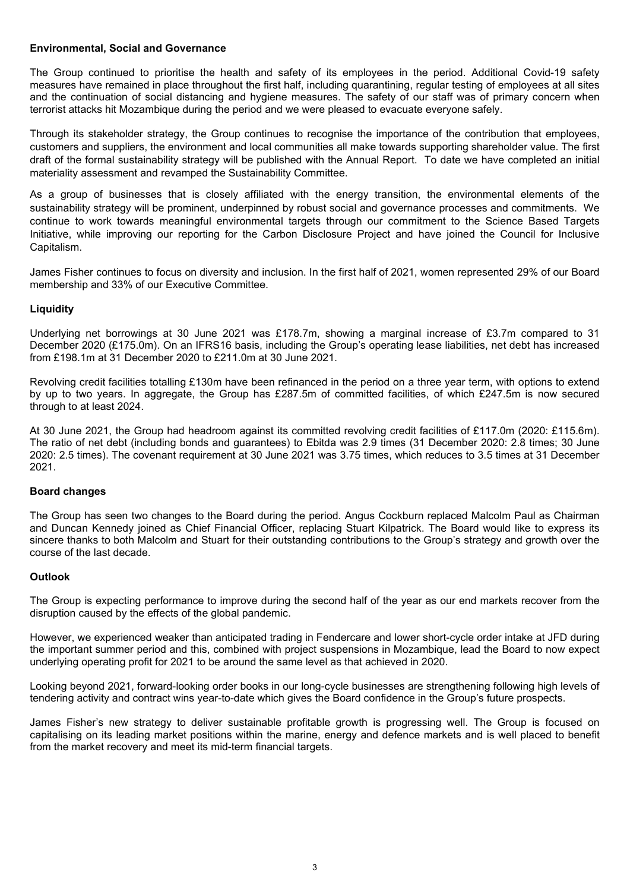## **Environmental, Social and Governance**

The Group continued to prioritise the health and safety of its employees in the period. Additional Covid-19 safety measures have remained in place throughout the first half, including quarantining, regular testing of employees at all sites and the continuation of social distancing and hygiene measures. The safety of our staff was of primary concern when terrorist attacks hit Mozambique during the period and we were pleased to evacuate everyone safely.

Through its stakeholder strategy, the Group continues to recognise the importance of the contribution that employees, customers and suppliers, the environment and local communities all make towards supporting shareholder value. The first draft of the formal sustainability strategy will be published with the Annual Report. To date we have completed an initial materiality assessment and revamped the Sustainability Committee.

As a group of businesses that is closely affiliated with the energy transition, the environmental elements of the sustainability strategy will be prominent, underpinned by robust social and governance processes and commitments. We continue to work towards meaningful environmental targets through our commitment to the Science Based Targets Initiative, while improving our reporting for the Carbon Disclosure Project and have joined the Council for Inclusive Capitalism.

James Fisher continues to focus on diversity and inclusion. In the first half of 2021, women represented 29% of our Board membership and 33% of our Executive Committee.

## **Liquidity**

Underlying net borrowings at 30 June 2021 was £178.7m, showing a marginal increase of £3.7m compared to 31 December 2020 (£175.0m). On an IFRS16 basis, including the Group's operating lease liabilities, net debt has increased from £198.1m at 31 December 2020 to £211.0m at 30 June 2021.

Revolving credit facilities totalling £130m have been refinanced in the period on a three year term, with options to extend by up to two years. In aggregate, the Group has £287.5m of committed facilities, of which £247.5m is now secured through to at least 2024.

At 30 June 2021, the Group had headroom against its committed revolving credit facilities of £117.0m (2020: £115.6m). The ratio of net debt (including bonds and guarantees) to Ebitda was 2.9 times (31 December 2020: 2.8 times; 30 June 2020: 2.5 times). The covenant requirement at 30 June 2021 was 3.75 times, which reduces to 3.5 times at 31 December 2021.

# **Board changes**

The Group has seen two changes to the Board during the period. Angus Cockburn replaced Malcolm Paul as Chairman and Duncan Kennedy joined as Chief Financial Officer, replacing Stuart Kilpatrick. The Board would like to express its sincere thanks to both Malcolm and Stuart for their outstanding contributions to the Group's strategy and growth over the course of the last decade.

## **Outlook**

The Group is expecting performance to improve during the second half of the year as our end markets recover from the disruption caused by the effects of the global pandemic.

However, we experienced weaker than anticipated trading in Fendercare and lower short-cycle order intake at JFD during the important summer period and this, combined with project suspensions in Mozambique, lead the Board to now expect underlying operating profit for 2021 to be around the same level as that achieved in 2020.

Looking beyond 2021, forward-looking order books in our long-cycle businesses are strengthening following high levels of tendering activity and contract wins year-to-date which gives the Board confidence in the Group's future prospects.

James Fisher's new strategy to deliver sustainable profitable growth is progressing well. The Group is focused on capitalising on its leading market positions within the marine, energy and defence markets and is well placed to benefit from the market recovery and meet its mid-term financial targets.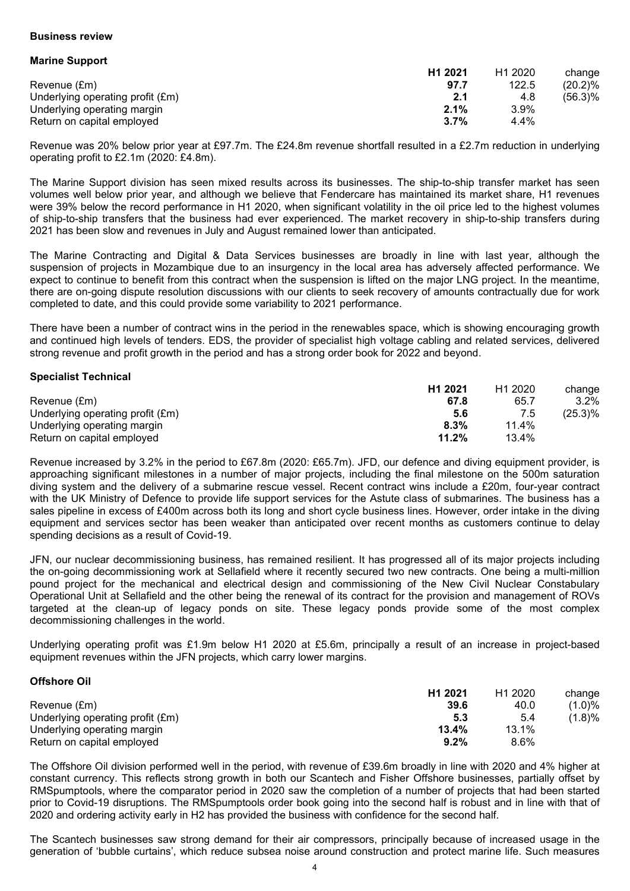## **Business review**

**Marine Support**

| H <sub>1</sub> 2021 | H <sub>1</sub> 2020 | change     |
|---------------------|---------------------|------------|
| 97.7                | 122.5               | $(20.2)\%$ |
| 2.1                 | 4.8                 | (56.3)%    |
| 2.1%                | $3.9\%$             |            |
| 3.7%                | 4.4%                |            |
|                     |                     |            |

Revenue was 20% below prior year at £97.7m. The £24.8m revenue shortfall resulted in a £2.7m reduction in underlying operating profit to £2.1m (2020: £4.8m).

The Marine Support division has seen mixed results across its businesses. The ship-to-ship transfer market has seen volumes well below prior year, and although we believe that Fendercare has maintained its market share, H1 revenues were 39% below the record performance in H1 2020, when significant volatility in the oil price led to the highest volumes of ship-to-ship transfers that the business had ever experienced. The market recovery in ship-to-ship transfers during 2021 has been slow and revenues in July and August remained lower than anticipated.

The Marine Contracting and Digital & Data Services businesses are broadly in line with last year, although the suspension of projects in Mozambique due to an insurgency in the local area has adversely affected performance. We expect to continue to benefit from this contract when the suspension is lifted on the major LNG project. In the meantime, there are on-going dispute resolution discussions with our clients to seek recovery of amounts contractually due for work completed to date, and this could provide some variability to 2021 performance.

There have been a number of contract wins in the period in the renewables space, which is showing encouraging growth and continued high levels of tenders. EDS, the provider of specialist high voltage cabling and related services, delivered strong revenue and profit growth in the period and has a strong order book for 2022 and beyond.

## **Specialist Technical**

|                                  | H <sub>1</sub> 2021 | H <sub>1</sub> 2020 | change  |
|----------------------------------|---------------------|---------------------|---------|
| Revenue (£m)                     | 67.8                | 65.7                | $3.2\%$ |
| Underlying operating profit (£m) | 5.6                 |                     | (25.3)% |
| Underlying operating margin      | 8.3%                | 11.4%               |         |
| Return on capital employed       | 11.2%               | 13.4%               |         |

Revenue increased by 3.2% in the period to £67.8m (2020: £65.7m). JFD, our defence and diving equipment provider, is approaching significant milestones in a number of major projects, including the final milestone on the 500m saturation diving system and the delivery of a submarine rescue vessel. Recent contract wins include a £20m, four-year contract with the UK Ministry of Defence to provide life support services for the Astute class of submarines. The business has a sales pipeline in excess of £400m across both its long and short cycle business lines. However, order intake in the diving equipment and services sector has been weaker than anticipated over recent months as customers continue to delay spending decisions as a result of Covid-19.

JFN, our nuclear decommissioning business, has remained resilient. It has progressed all of its major projects including the on-going decommissioning work at Sellafield where it recently secured two new contracts. One being a multi-million pound project for the mechanical and electrical design and commissioning of the New Civil Nuclear Constabulary Operational Unit at Sellafield and the other being the renewal of its contract for the provision and management of ROVs targeted at the clean-up of legacy ponds on site. These legacy ponds provide some of the most complex decommissioning challenges in the world.

Underlying operating profit was £1.9m below H1 2020 at £5.6m, principally a result of an increase in project-based equipment revenues within the JFN projects, which carry lower margins.

## **Offshore Oil**

|                                  | H <sub>1</sub> 2021 | H <sub>1</sub> 2020 | change    |
|----------------------------------|---------------------|---------------------|-----------|
| Revenue (£m)                     | 39.6                | 40.0                | $(1.0)\%$ |
| Underlying operating profit (£m) | 5.3                 | 5.4                 | (1.8)%    |
| Underlying operating margin      | 13.4%               | 13.1%               |           |
| Return on capital employed       | $9.2\%$             | 8.6%                |           |

The Offshore Oil division performed well in the period, with revenue of £39.6m broadly in line with 2020 and 4% higher at constant currency. This reflects strong growth in both our Scantech and Fisher Offshore businesses, partially offset by RMSpumptools, where the comparator period in 2020 saw the completion of a number of projects that had been started prior to Covid-19 disruptions. The RMSpumptools order book going into the second half is robust and in line with that of 2020 and ordering activity early in H2 has provided the business with confidence for the second half.

The Scantech businesses saw strong demand for their air compressors, principally because of increased usage in the generation of 'bubble curtains', which reduce subsea noise around construction and protect marine life. Such measures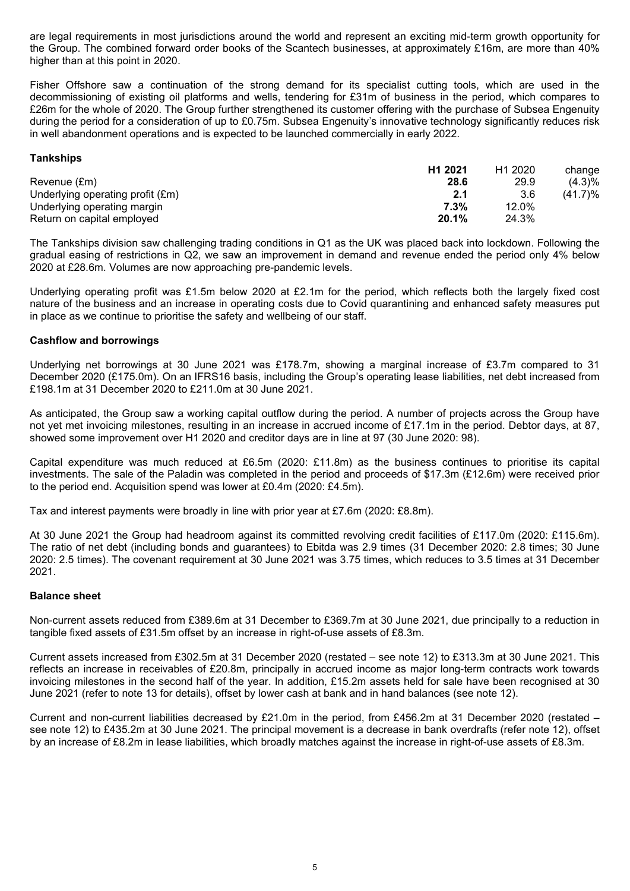are legal requirements in most jurisdictions around the world and represent an exciting mid-term growth opportunity for the Group. The combined forward order books of the Scantech businesses, at approximately £16m, are more than 40% higher than at this point in 2020.

Fisher Offshore saw a continuation of the strong demand for its specialist cutting tools, which are used in the decommissioning of existing oil platforms and wells, tendering for £31m of business in the period, which compares to £26m for the whole of 2020. The Group further strengthened its customer offering with the purchase of Subsea Engenuity during the period for a consideration of up to £0.75m. Subsea Engenuity's innovative technology significantly reduces risk in well abandonment operations and is expected to be launched commercially in early 2022.

## **Tankships**

|                                  | H <sub>1</sub> 2021 | H <sub>1</sub> 2020 | change     |
|----------------------------------|---------------------|---------------------|------------|
| Revenue (£m)                     | 28.6                | 29.9                | (4.3)%     |
| Underlying operating profit (£m) | 2.1                 | 3.6                 | $(41.7)\%$ |
| Underlying operating margin      | $7.3\%$             | 12.0%               |            |
| Return on capital employed       | 20.1%               | 24.3%               |            |

The Tankships division saw challenging trading conditions in Q1 as the UK was placed back into lockdown. Following the gradual easing of restrictions in Q2, we saw an improvement in demand and revenue ended the period only 4% below 2020 at £28.6m. Volumes are now approaching pre-pandemic levels.

Underlying operating profit was £1.5m below 2020 at £2.1m for the period, which reflects both the largely fixed cost nature of the business and an increase in operating costs due to Covid quarantining and enhanced safety measures put in place as we continue to prioritise the safety and wellbeing of our staff.

## **Cashflow and borrowings**

Underlying net borrowings at 30 June 2021 was £178.7m, showing a marginal increase of £3.7m compared to 31 December 2020 (£175.0m). On an IFRS16 basis, including the Group's operating lease liabilities, net debt increased from £198.1m at 31 December 2020 to £211.0m at 30 June 2021.

As anticipated, the Group saw a working capital outflow during the period. A number of projects across the Group have not yet met invoicing milestones, resulting in an increase in accrued income of £17.1m in the period. Debtor days, at 87, showed some improvement over H1 2020 and creditor days are in line at 97 (30 June 2020: 98).

Capital expenditure was much reduced at £6.5m (2020: £11.8m) as the business continues to prioritise its capital investments. The sale of the Paladin was completed in the period and proceeds of \$17.3m (£12.6m) were received prior to the period end. Acquisition spend was lower at £0.4m (2020: £4.5m).

Tax and interest payments were broadly in line with prior year at £7.6m (2020: £8.8m).

At 30 June 2021 the Group had headroom against its committed revolving credit facilities of £117.0m (2020: £115.6m). The ratio of net debt (including bonds and guarantees) to Ebitda was 2.9 times (31 December 2020: 2.8 times; 30 June 2020: 2.5 times). The covenant requirement at 30 June 2021 was 3.75 times, which reduces to 3.5 times at 31 December 2021.

## **Balance sheet**

Non-current assets reduced from £389.6m at 31 December to £369.7m at 30 June 2021, due principally to a reduction in tangible fixed assets of £31.5m offset by an increase in right-of-use assets of £8.3m.

Current assets increased from £302.5m at 31 December 2020 (restated – see note 12) to £313.3m at 30 June 2021. This reflects an increase in receivables of £20.8m, principally in accrued income as major long-term contracts work towards invoicing milestones in the second half of the year. In addition, £15.2m assets held for sale have been recognised at 30 June 2021 (refer to note 13 for details), offset by lower cash at bank and in hand balances (see note 12).

Current and non-current liabilities decreased by £21.0m in the period, from £456.2m at 31 December 2020 (restated – see note 12) to £435.2m at 30 June 2021. The principal movement is a decrease in bank overdrafts (refer note 12), offset by an increase of £8.2m in lease liabilities, which broadly matches against the increase in right-of-use assets of £8.3m.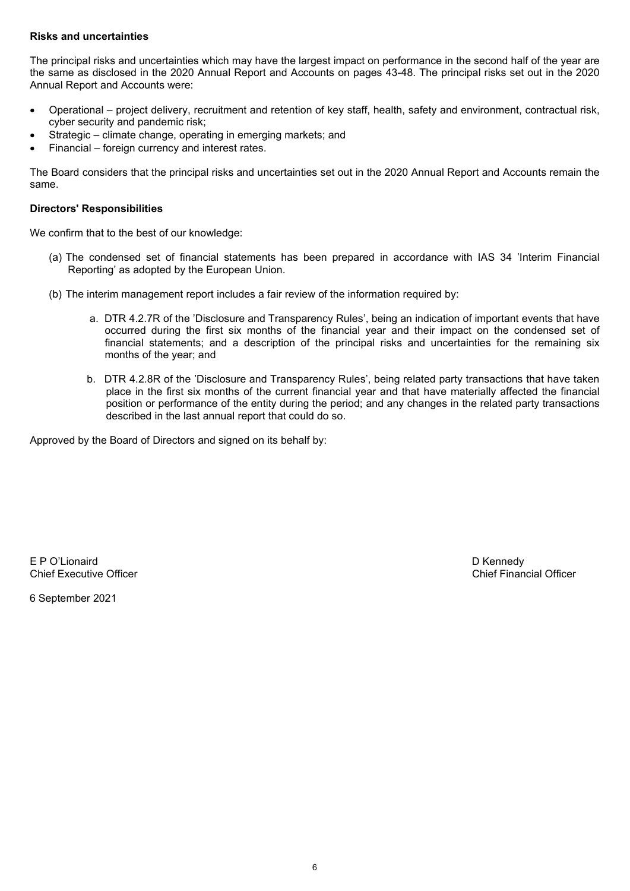## **Risks and uncertainties**

The principal risks and uncertainties which may have the largest impact on performance in the second half of the year are the same as disclosed in the 2020 Annual Report and Accounts on pages 43-48. The principal risks set out in the 2020 Annual Report and Accounts were:

- Operational project delivery, recruitment and retention of key staff, health, safety and environment, contractual risk, cyber security and pandemic risk;
- Strategic climate change, operating in emerging markets; and
- Financial foreign currency and interest rates.

The Board considers that the principal risks and uncertainties set out in the 2020 Annual Report and Accounts remain the same.

## **Directors' Responsibilities**

We confirm that to the best of our knowledge:

- (a) The condensed set of financial statements has been prepared in accordance with IAS 34 'Interim Financial Reporting' as adopted by the European Union.
- (b) The interim management report includes a fair review of the information required by:
	- a. DTR 4.2.7R of the 'Disclosure and Transparency Rules', being an indication of important events that have occurred during the first six months of the financial year and their impact on the condensed set of financial statements; and a description of the principal risks and uncertainties for the remaining six months of the year; and
	- b. DTR 4.2.8R of the 'Disclosure and Transparency Rules', being related party transactions that have taken place in the first six months of the current financial year and that have materially affected the financial position or performance of the entity during the period; and any changes in the related party transactions described in the last annual report that could do so.

Approved by the Board of Directors and signed on its behalf by:

E P O'Lionaird D Kennedy Chief Executive Officer

6 September 2021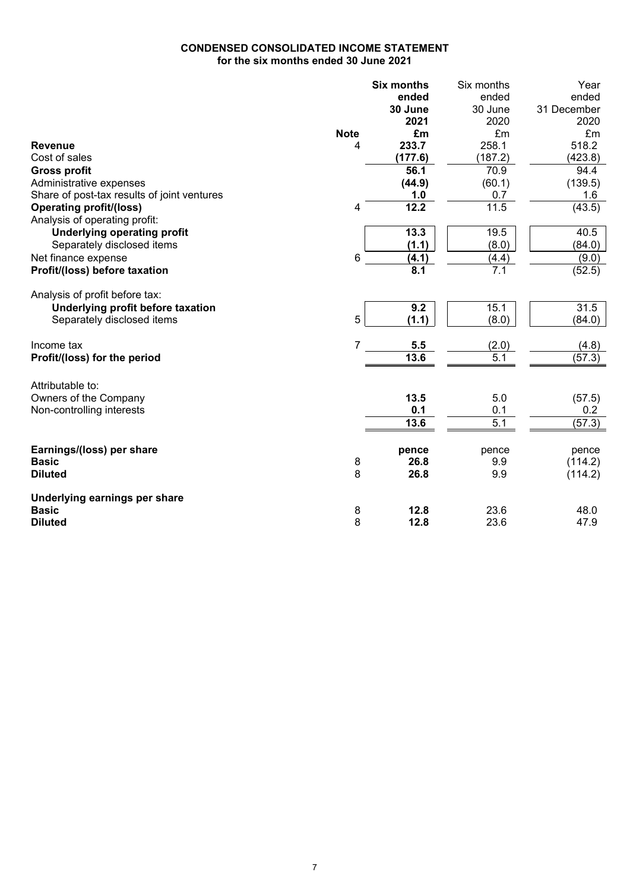# **CONDENSED CONSOLIDATED INCOME STATEMENT for the six months ended 30 June 2021**

|                                             |                | <b>Six months</b> | Six months       | Year        |
|---------------------------------------------|----------------|-------------------|------------------|-------------|
|                                             |                | ended             | ended            | ended       |
|                                             |                | 30 June           | 30 June          | 31 December |
|                                             |                | 2021              | 2020             | 2020        |
|                                             | <b>Note</b>    | £m                | £m               | £m          |
| <b>Revenue</b>                              | 4              | 233.7             | 258.1            | 518.2       |
| Cost of sales                               |                | (177.6)           | (187.2)          | (423.8)     |
| <b>Gross profit</b>                         |                | 56.1              | 70.9             | 94.4        |
| Administrative expenses                     |                | (44.9)            | (60.1)           | (139.5)     |
| Share of post-tax results of joint ventures |                | 1.0               | 0.7              | 1.6         |
| <b>Operating profit/(loss)</b>              | 4              | 12.2              | 11.5             | (43.5)      |
| Analysis of operating profit:               |                |                   |                  |             |
| <b>Underlying operating profit</b>          |                | 13.3              | 19.5             | 40.5        |
| Separately disclosed items                  |                | (1.1)             | (8.0)            | (84.0)      |
| Net finance expense                         | 6              | (4.1)             | (4.4)            | (9.0)       |
| Profit/(loss) before taxation               |                | 8.1               | 7.1              | (52.5)      |
| Analysis of profit before tax:              |                |                   |                  |             |
| Underlying profit before taxation           |                | 9.2               | 15.1             | 31.5        |
| Separately disclosed items                  | 5              | (1.1)             | (8.0)            | (84.0)      |
| Income tax                                  | $\overline{7}$ | 5.5               | (2.0)            | (4.8)       |
| Profit/(loss) for the period                |                | 13.6              | 5.1              | (57.3)      |
| Attributable to:                            |                |                   |                  |             |
| Owners of the Company                       |                | 13.5              | 5.0              | (57.5)      |
| Non-controlling interests                   |                | 0.1               | 0.1              | 0.2         |
|                                             |                | 13.6              | $\overline{5.1}$ | (57.3)      |
| Earnings/(loss) per share                   |                | pence             | pence            | pence       |
| <b>Basic</b>                                | 8              | 26.8              | 9.9              | (114.2)     |
| <b>Diluted</b>                              | 8              | 26.8              | 9.9              | (114.2)     |
| Underlying earnings per share               |                |                   |                  |             |
| <b>Basic</b>                                | 8              | 12.8              | 23.6             | 48.0        |
| <b>Diluted</b>                              | 8              | 12.8              | 23.6             | 47.9        |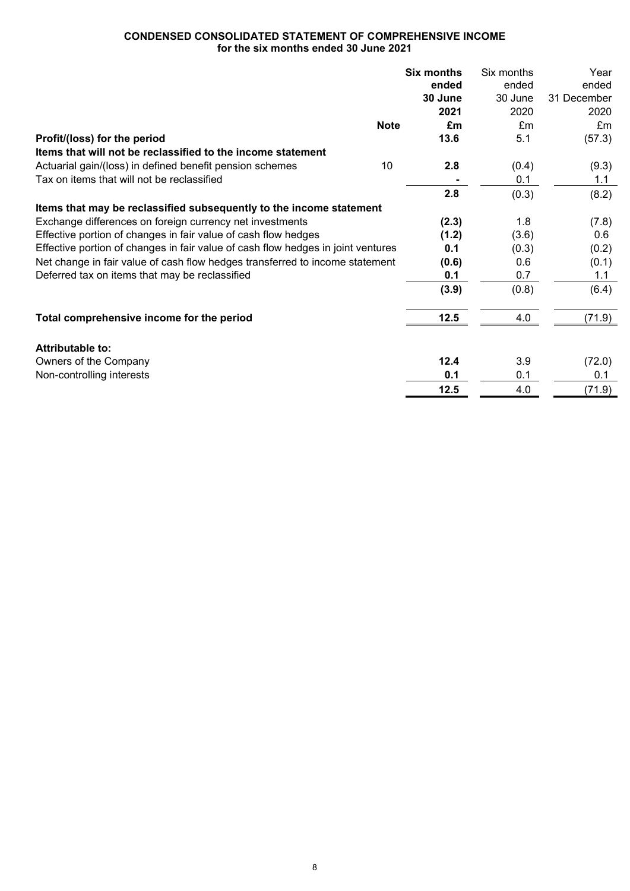# **CONDENSED CONSOLIDATED STATEMENT OF COMPREHENSIVE INCOME for the six months ended 30 June 2021**

|                                                                                  | <b>Six months</b> | Six months | Year        |
|----------------------------------------------------------------------------------|-------------------|------------|-------------|
|                                                                                  | ended             | ended      | ended       |
|                                                                                  | 30 June           | 30 June    | 31 December |
|                                                                                  | 2021              | 2020       | 2020        |
| <b>Note</b>                                                                      | £m                | Em         | Em          |
| Profit/(loss) for the period                                                     | 13.6              | 5.1        | (57.3)      |
| Items that will not be reclassified to the income statement                      |                   |            |             |
| Actuarial gain/(loss) in defined benefit pension schemes<br>10                   | 2.8               | (0.4)      | (9.3)       |
| Tax on items that will not be reclassified                                       |                   | 0.1        | 1.1         |
|                                                                                  | 2.8               | (0.3)      | (8.2)       |
| Items that may be reclassified subsequently to the income statement              |                   |            |             |
| Exchange differences on foreign currency net investments                         | (2.3)             | 1.8        | (7.8)       |
| Effective portion of changes in fair value of cash flow hedges                   | (1.2)             | (3.6)      | 0.6         |
| Effective portion of changes in fair value of cash flow hedges in joint ventures | 0.1               | (0.3)      | (0.2)       |
| Net change in fair value of cash flow hedges transferred to income statement     | (0.6)             | 0.6        | (0.1)       |
| Deferred tax on items that may be reclassified                                   | 0.1               | 0.7        | 1.1         |
|                                                                                  | (3.9)             | (0.8)      | (6.4)       |
| Total comprehensive income for the period                                        | 12.5              | 4.0        | (71.9)      |
|                                                                                  |                   |            |             |
| Attributable to:                                                                 |                   |            |             |
| Owners of the Company                                                            | 12.4              | 3.9        | (72.0)      |
| Non-controlling interests                                                        | 0.1               | 0.1        | 0.1         |
|                                                                                  | 12.5              | 4.0        | (71.9)      |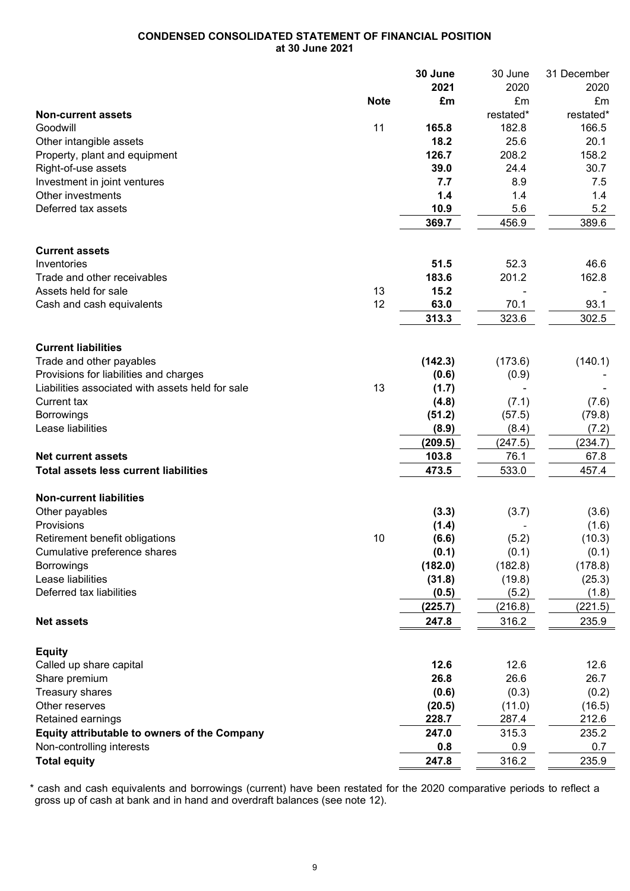# **CONDENSED CONSOLIDATED STATEMENT OF FINANCIAL POSITION at 30 June 2021**

|                                                     |             | 30 June | 30 June   | 31 December |
|-----------------------------------------------------|-------------|---------|-----------|-------------|
|                                                     |             | 2021    | 2020      | 2020        |
|                                                     | <b>Note</b> | £m      | £m        | £m          |
| <b>Non-current assets</b>                           |             |         | restated* | restated*   |
| Goodwill                                            | 11          | 165.8   | 182.8     | 166.5       |
| Other intangible assets                             |             | 18.2    | 25.6      | 20.1        |
| Property, plant and equipment                       |             | 126.7   | 208.2     | 158.2       |
| Right-of-use assets                                 |             | 39.0    | 24.4      | 30.7        |
| Investment in joint ventures                        |             | 7.7     | 8.9       | 7.5         |
| Other investments                                   |             | 1.4     | 1.4       | 1.4         |
| Deferred tax assets                                 |             | 10.9    | 5.6       | 5.2         |
|                                                     |             | 369.7   | 456.9     | 389.6       |
|                                                     |             |         |           |             |
| <b>Current assets</b>                               |             |         |           |             |
| Inventories                                         |             | 51.5    | 52.3      | 46.6        |
| Trade and other receivables                         |             | 183.6   | 201.2     | 162.8       |
| Assets held for sale                                | 13          | 15.2    |           |             |
| Cash and cash equivalents                           | 12          | 63.0    | 70.1      | 93.1        |
|                                                     |             | 313.3   | 323.6     | 302.5       |
|                                                     |             |         |           |             |
| <b>Current liabilities</b>                          |             |         |           |             |
|                                                     |             |         |           | (140.1)     |
| Trade and other payables                            |             | (142.3) | (173.6)   |             |
| Provisions for liabilities and charges              |             | (0.6)   | (0.9)     |             |
| Liabilities associated with assets held for sale    | 13          | (1.7)   |           |             |
| <b>Current tax</b>                                  |             | (4.8)   | (7.1)     | (7.6)       |
| <b>Borrowings</b>                                   |             | (51.2)  | (57.5)    | (79.8)      |
| Lease liabilities                                   |             | (8.9)   | (8.4)     | (7.2)       |
|                                                     |             | (209.5) | (247.5)   | (234.7)     |
| <b>Net current assets</b>                           |             | 103.8   | 76.1      | 67.8        |
| <b>Total assets less current liabilities</b>        |             | 473.5   | 533.0     | 457.4       |
|                                                     |             |         |           |             |
| <b>Non-current liabilities</b>                      |             |         |           |             |
| Other payables                                      |             | (3.3)   | (3.7)     | (3.6)       |
| Provisions                                          |             | (1.4)   |           | (1.6)       |
| Retirement benefit obligations                      | 10          | (6.6)   | (5.2)     | (10.3)      |
| Cumulative preference shares                        |             | (0.1)   | (0.1)     | (0.1)       |
| <b>Borrowings</b>                                   |             | (182.0) | (182.8)   | (178.8)     |
| Lease liabilities                                   |             | (31.8)  | (19.8)    | (25.3)      |
| Deferred tax liabilities                            |             | (0.5)   | (5.2)     | (1.8)       |
|                                                     |             | (225.7) | (216.8)   | (221.5)     |
| <b>Net assets</b>                                   |             | 247.8   | 316.2     | 235.9       |
|                                                     |             |         |           |             |
| <b>Equity</b>                                       |             |         |           |             |
| Called up share capital                             |             | 12.6    | 12.6      | 12.6        |
| Share premium                                       |             | 26.8    | 26.6      | 26.7        |
| Treasury shares                                     |             | (0.6)   | (0.3)     | (0.2)       |
| Other reserves                                      |             | (20.5)  | (11.0)    | (16.5)      |
| Retained earnings                                   |             | 228.7   | 287.4     | 212.6       |
| <b>Equity attributable to owners of the Company</b> |             | 247.0   | 315.3     | 235.2       |
| Non-controlling interests                           |             | 0.8     | 0.9       | 0.7         |
| <b>Total equity</b>                                 |             | 247.8   | 316.2     | 235.9       |
|                                                     |             |         |           |             |

\* cash and cash equivalents and borrowings (current) have been restated for the 2020 comparative periods to reflect a gross up of cash at bank and in hand and overdraft balances (see note 12).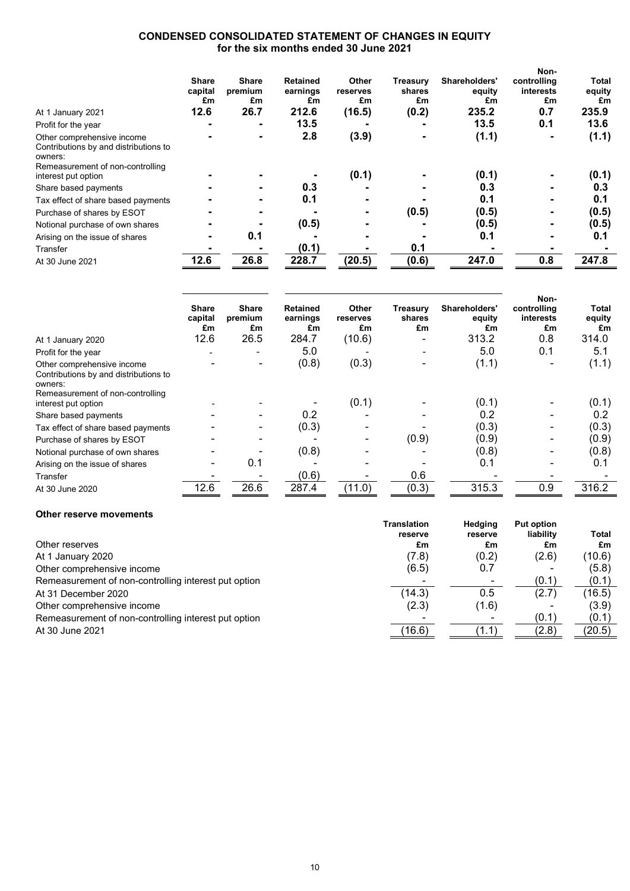# **CONDENSED CONSOLIDATED STATEMENT OF CHANGES IN EQUITY for the six months ended 30 June 2021**

|                                                                                | Share<br>capital<br>£m | <b>Share</b><br>premium<br>£m | <b>Retained</b><br>earnings<br>£m | Other<br>reserves<br>£m | Treasurv<br>shares<br>£m | Shareholders'<br>equity<br>£m | Non-<br>controlling<br>interests<br>£m | Total<br>equity<br>£m |
|--------------------------------------------------------------------------------|------------------------|-------------------------------|-----------------------------------|-------------------------|--------------------------|-------------------------------|----------------------------------------|-----------------------|
| At 1 January 2021                                                              | 12.6                   | 26.7                          | 212.6                             | (16.5)                  | (0.2)                    | 235.2                         | 0.7                                    | 235.9                 |
| Profit for the year                                                            |                        | -                             | 13.5                              |                         |                          | 13.5                          | 0.1                                    | 13.6                  |
| Other comprehensive income<br>Contributions by and distributions to<br>owners: |                        |                               | 2.8                               | (3.9)                   |                          | (1.1)                         |                                        | (1.1)                 |
| Remeasurement of non-controlling<br>interest put option                        |                        |                               |                                   | (0.1)                   |                          | (0.1)                         |                                        | (0.1)                 |
| Share based payments                                                           |                        |                               | 0.3                               |                         |                          | 0.3                           |                                        | 0.3                   |
| Tax effect of share based payments                                             |                        |                               | 0.1                               |                         |                          | 0.1                           |                                        | 0.1                   |
| Purchase of shares by ESOT                                                     |                        |                               |                                   |                         | (0.5)                    | (0.5)                         |                                        | (0.5)                 |
| Notional purchase of own shares                                                |                        |                               | (0.5)                             |                         |                          | (0.5)                         |                                        | (0.5)                 |
| Arising on the issue of shares                                                 |                        | 0.1                           |                                   |                         |                          | 0.1                           |                                        | 0.1                   |
| Transfer                                                                       |                        |                               | (0.1)                             |                         | 0.1                      |                               |                                        |                       |
| At 30 June 2021                                                                | 12.6                   | 26.8                          | 228.7                             | (20.5)                  | (0.6)                    | 247.0                         | 0.8                                    | 247.8                 |

|                                                                                | <b>Share</b><br>capital<br>£m | <b>Share</b><br>premium<br>£m | <b>Retained</b><br>earnings<br>£m | <b>Other</b><br>reserves<br>£m | Treasurv<br>shares<br>£m | Shareholders'<br>equity<br>£m | Non-<br>controlling<br>interests<br>£m | Total<br>equity<br>£m |
|--------------------------------------------------------------------------------|-------------------------------|-------------------------------|-----------------------------------|--------------------------------|--------------------------|-------------------------------|----------------------------------------|-----------------------|
| At 1 January 2020                                                              | 12.6                          | 26.5                          | 284.7                             | (10.6)                         |                          | 313.2                         | 0.8                                    | 314.0                 |
| Profit for the year                                                            |                               |                               | 5.0                               |                                |                          | 5.0                           | 0.1                                    | 5.1                   |
| Other comprehensive income<br>Contributions by and distributions to<br>owners: |                               |                               | (0.8)                             | (0.3)                          | $\overline{\phantom{0}}$ | (1.1)                         |                                        | (1.1)                 |
| Remeasurement of non-controlling<br>interest put option                        |                               |                               |                                   | (0.1)                          |                          | (0.1)                         |                                        | (0.1)                 |
| Share based payments                                                           |                               |                               | 0.2                               |                                |                          | 0.2                           |                                        | 0.2                   |
| Tax effect of share based payments                                             |                               |                               | (0.3)                             |                                |                          | (0.3)                         |                                        | (0.3)                 |
| Purchase of shares by ESOT                                                     |                               |                               |                                   |                                | (0.9)                    | (0.9)                         |                                        | (0.9)                 |
| Notional purchase of own shares                                                |                               |                               | (0.8)                             |                                |                          | (0.8)                         |                                        | (0.8)                 |
| Arising on the issue of shares                                                 |                               | 0.1                           |                                   |                                |                          | 0.1                           |                                        | 0.1                   |
| Transfer                                                                       |                               |                               | (0.6)                             |                                | 0.6                      |                               |                                        |                       |
| At 30 June 2020                                                                | 12.6                          | 26.6                          | 287.4                             | (11.0)                         | (0.3)                    | 315.3                         | 0.9                                    | 316.2                 |

#### **Other reserve movements**

|                                                      | Translation<br>reserve | Hedging<br>reserve | <b>Put option</b><br>liability | <b>Total</b> |
|------------------------------------------------------|------------------------|--------------------|--------------------------------|--------------|
| Other reserves                                       | £m                     | £m                 | £m                             | £m           |
| At 1 January 2020                                    | (7.8)                  | (0.2)              | (2.6)                          | (10.6)       |
| Other comprehensive income                           | (6.5)                  | 0.7                | ٠                              | (5.8)        |
| Remeasurement of non-controlling interest put option |                        |                    | (0.1)                          | (0.1)        |
| At 31 December 2020                                  | (14.3)                 | 0.5                | (2.7)                          | (16.5)       |
| Other comprehensive income                           | (2.3)                  | (1.6)              |                                | (3.9)        |
| Remeasurement of non-controlling interest put option |                        |                    | (0.1)                          | (0.1)        |
| At 30 June 2021                                      | (16.6)                 | (1.1)              | (2.8)                          | (20.5)       |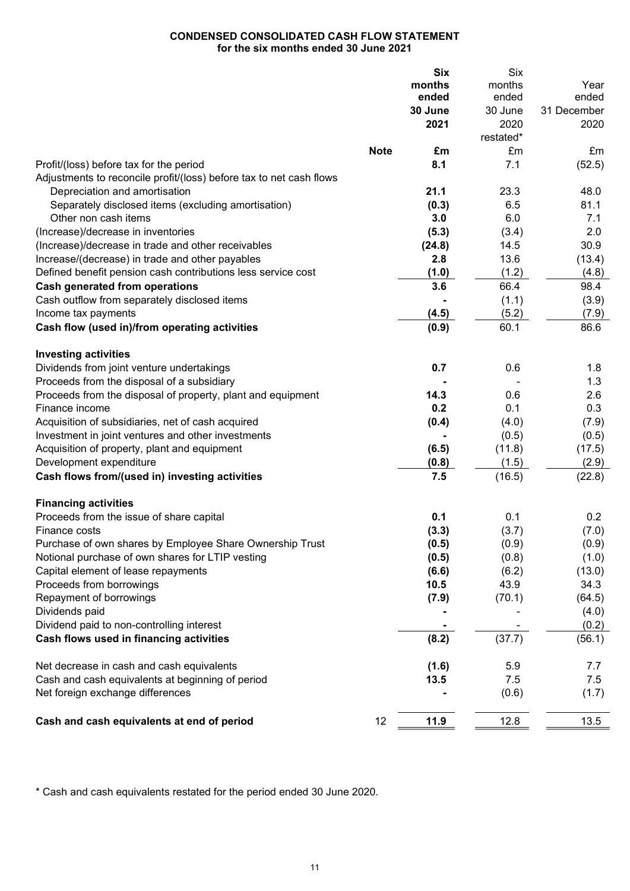# **CONDENSED CONSOLIDATED CASH FLOW STATEMENT for the six months ended 30 June 2021**

|                                                                     |             | <b>Six</b> | <b>Six</b> |             |
|---------------------------------------------------------------------|-------------|------------|------------|-------------|
|                                                                     |             | months     | months     | Year        |
|                                                                     |             | ended      | ended      | ended       |
|                                                                     |             | 30 June    | 30 June    | 31 December |
|                                                                     |             | 2021       | 2020       | 2020        |
|                                                                     |             |            | restated*  |             |
|                                                                     | <b>Note</b> | £m         | £m         | £m          |
| Profit/(loss) before tax for the period                             |             | 8.1        | 7.1        | (52.5)      |
| Adjustments to reconcile profit/(loss) before tax to net cash flows |             |            |            |             |
| Depreciation and amortisation                                       |             | 21.1       | 23.3       | 48.0        |
| Separately disclosed items (excluding amortisation)                 |             | (0.3)      | 6.5        | 81.1        |
| Other non cash items                                                |             | 3.0        | 6.0        | 7.1         |
| (Increase)/decrease in inventories                                  |             | (5.3)      | (3.4)      | 2.0         |
| (Increase)/decrease in trade and other receivables                  |             | (24.8)     | 14.5       | 30.9        |
| Increase/(decrease) in trade and other payables                     |             | 2.8        | 13.6       | (13.4)      |
| Defined benefit pension cash contributions less service cost        |             | (1.0)      | (1.2)      | (4.8)       |
| <b>Cash generated from operations</b>                               |             | 3.6        | 66.4       | 98.4        |
| Cash outflow from separately disclosed items                        |             |            | (1.1)      | (3.9)       |
| Income tax payments                                                 |             | (4.5)      | (5.2)      | (7.9)       |
| Cash flow (used in)/from operating activities                       |             | (0.9)      | 60.1       | 86.6        |
|                                                                     |             |            |            |             |
| <b>Investing activities</b>                                         |             |            |            |             |
| Dividends from joint venture undertakings                           |             | 0.7        | 0.6        | 1.8         |
| Proceeds from the disposal of a subsidiary                          |             |            |            | 1.3         |
| Proceeds from the disposal of property, plant and equipment         |             | 14.3       | 0.6        | 2.6         |
| Finance income                                                      |             | 0.2        | 0.1        | 0.3         |
| Acquisition of subsidiaries, net of cash acquired                   |             | (0.4)      | (4.0)      | (7.9)       |
| Investment in joint ventures and other investments                  |             |            | (0.5)      | (0.5)       |
| Acquisition of property, plant and equipment                        |             | (6.5)      | (11.8)     | (17.5)      |
| Development expenditure                                             |             | (0.8)      | (1.5)      | (2.9)       |
| Cash flows from/(used in) investing activities                      |             | 7.5        | (16.5)     | (22.8)      |
|                                                                     |             |            |            |             |
| <b>Financing activities</b>                                         |             |            |            |             |
| Proceeds from the issue of share capital                            |             | 0.1        | 0.1        | 0.2         |
| Finance costs                                                       |             | (3.3)      | (3.7)      | (7.0)       |
| Purchase of own shares by Employee Share Ownership Trust            |             | (0.5)      | (0.9)      | (0.9)       |
| Notional purchase of own shares for LTIP vesting                    |             | (0.5)      | (0.8)      | (1.0)       |
| Capital element of lease repayments                                 |             | (6.6)      | (6.2)      | (13.0)      |
| Proceeds from borrowings                                            |             | 10.5       | 43.9       | 34.3        |
| Repayment of borrowings                                             |             | (7.9)      | (70.1)     | (64.5)      |
| Dividends paid                                                      |             |            |            | (4.0)       |
| Dividend paid to non-controlling interest                           |             |            |            | (0.2)       |
| Cash flows used in financing activities                             |             | (8.2)      | (37.7)     | (56.1)      |
|                                                                     |             |            |            |             |
| Net decrease in cash and cash equivalents                           |             | (1.6)      | 5.9        | 7.7         |
| Cash and cash equivalents at beginning of period                    |             | 13.5       | 7.5        | 7.5         |
| Net foreign exchange differences                                    |             |            | (0.6)      | (1.7)       |
|                                                                     |             |            |            |             |
| Cash and cash equivalents at end of period                          | 12          | 11.9       | 12.8       | 13.5        |

\* Cash and cash equivalents restated for the period ended 30 June 2020.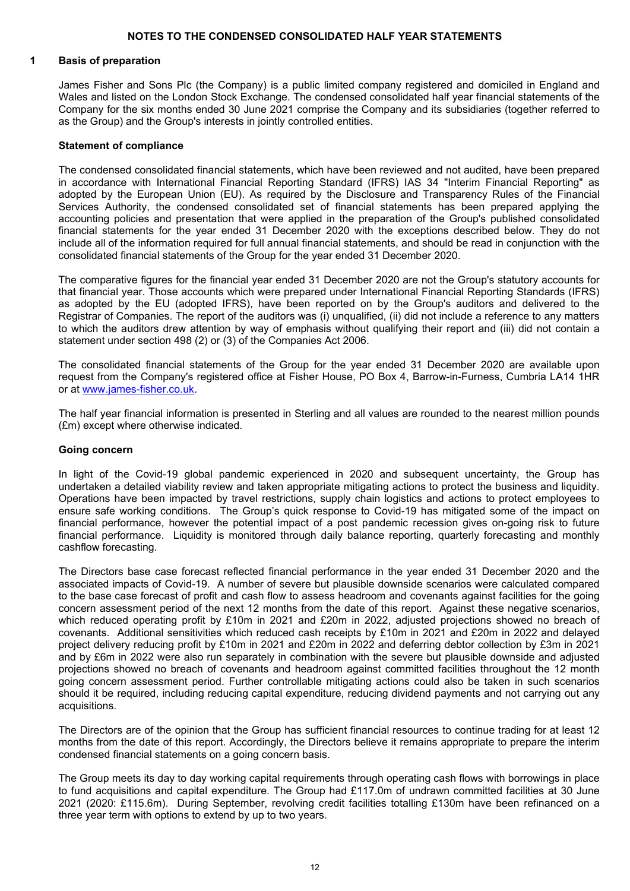## **NOTES TO THE CONDENSED CONSOLIDATED HALF YEAR STATEMENTS**

## **1 Basis of preparation**

James Fisher and Sons Plc (the Company) is a public limited company registered and domiciled in England and Wales and listed on the London Stock Exchange. The condensed consolidated half year financial statements of the Company for the six months ended 30 June 2021 comprise the Company and its subsidiaries (together referred to as the Group) and the Group's interests in jointly controlled entities.

#### **Statement of compliance**

The condensed consolidated financial statements, which have been reviewed and not audited, have been prepared in accordance with International Financial Reporting Standard (IFRS) IAS 34 "Interim Financial Reporting" as adopted by the European Union (EU). As required by the Disclosure and Transparency Rules of the Financial Services Authority, the condensed consolidated set of financial statements has been prepared applying the accounting policies and presentation that were applied in the preparation of the Group's published consolidated financial statements for the year ended 31 December 2020 with the exceptions described below. They do not include all of the information required for full annual financial statements, and should be read in conjunction with the consolidated financial statements of the Group for the year ended 31 December 2020.

The comparative figures for the financial year ended 31 December 2020 are not the Group's statutory accounts for that financial year. Those accounts which were prepared under International Financial Reporting Standards (IFRS) as adopted by the EU (adopted IFRS), have been reported on by the Group's auditors and delivered to the Registrar of Companies. The report of the auditors was (i) unqualified, (ii) did not include a reference to any matters to which the auditors drew attention by way of emphasis without qualifying their report and (iii) did not contain a statement under section 498 (2) or (3) of the Companies Act 2006.

The consolidated financial statements of the Group for the year ended 31 December 2020 are available upon request from the Company's registered office at Fisher House, PO Box 4, Barrow-in-Furness, Cumbria LA14 1HR or at [www.james-fisher.co.uk.](http://www.james-fisher.co.uk/)

The half year financial information is presented in Sterling and all values are rounded to the nearest million pounds (£m) except where otherwise indicated.

## **Going concern**

In light of the Covid-19 global pandemic experienced in 2020 and subsequent uncertainty, the Group has undertaken a detailed viability review and taken appropriate mitigating actions to protect the business and liquidity. Operations have been impacted by travel restrictions, supply chain logistics and actions to protect employees to ensure safe working conditions. The Group's quick response to Covid-19 has mitigated some of the impact on financial performance, however the potential impact of a post pandemic recession gives on-going risk to future financial performance. Liquidity is monitored through daily balance reporting, quarterly forecasting and monthly cashflow forecasting.

The Directors base case forecast reflected financial performance in the year ended 31 December 2020 and the associated impacts of Covid-19. A number of severe but plausible downside scenarios were calculated compared to the base case forecast of profit and cash flow to assess headroom and covenants against facilities for the going concern assessment period of the next 12 months from the date of this report. Against these negative scenarios, which reduced operating profit by £10m in 2021 and £20m in 2022, adjusted projections showed no breach of covenants. Additional sensitivities which reduced cash receipts by £10m in 2021 and £20m in 2022 and delayed project delivery reducing profit by £10m in 2021 and £20m in 2022 and deferring debtor collection by £3m in 2021 and by £6m in 2022 were also run separately in combination with the severe but plausible downside and adjusted projections showed no breach of covenants and headroom against committed facilities throughout the 12 month going concern assessment period. Further controllable mitigating actions could also be taken in such scenarios should it be required, including reducing capital expenditure, reducing dividend payments and not carrying out any acquisitions.

The Directors are of the opinion that the Group has sufficient financial resources to continue trading for at least 12 months from the date of this report. Accordingly, the Directors believe it remains appropriate to prepare the interim condensed financial statements on a going concern basis.

The Group meets its day to day working capital requirements through operating cash flows with borrowings in place to fund acquisitions and capital expenditure. The Group had £117.0m of undrawn committed facilities at 30 June 2021 (2020: £115.6m). During September, revolving credit facilities totalling £130m have been refinanced on a three year term with options to extend by up to two years.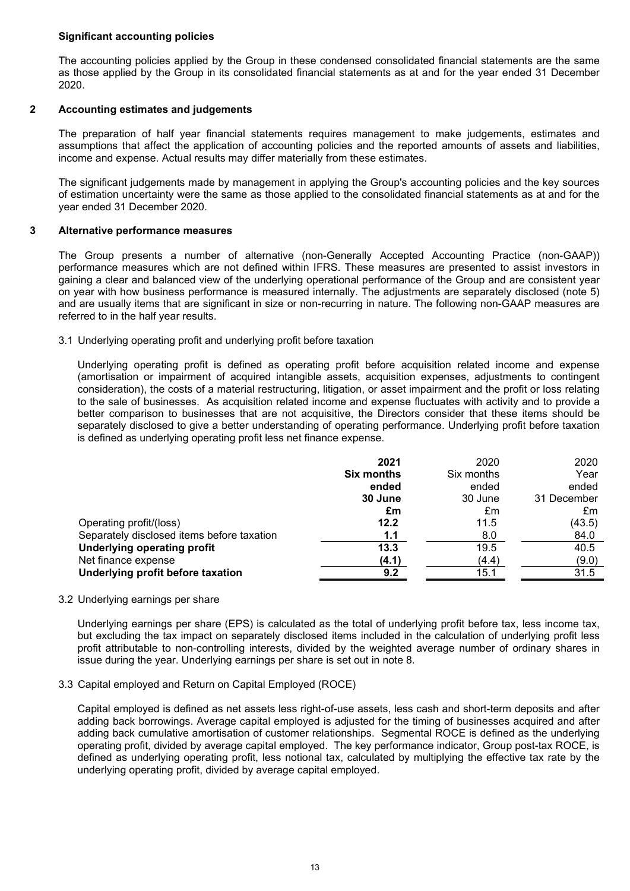## **Significant accounting policies**

The accounting policies applied by the Group in these condensed consolidated financial statements are the same as those applied by the Group in its consolidated financial statements as at and for the year ended 31 December 2020.

## **2 Accounting estimates and judgements**

The preparation of half year financial statements requires management to make judgements, estimates and assumptions that affect the application of accounting policies and the reported amounts of assets and liabilities, income and expense. Actual results may differ materially from these estimates.

The significant judgements made by management in applying the Group's accounting policies and the key sources of estimation uncertainty were the same as those applied to the consolidated financial statements as at and for the year ended 31 December 2020.

## **3 Alternative performance measures**

The Group presents a number of alternative (non-Generally Accepted Accounting Practice (non-GAAP)) performance measures which are not defined within IFRS. These measures are presented to assist investors in gaining a clear and balanced view of the underlying operational performance of the Group and are consistent year on year with how business performance is measured internally. The adjustments are separately disclosed (note 5) and are usually items that are significant in size or non-recurring in nature. The following non-GAAP measures are referred to in the half year results.

## 3.1 Underlying operating profit and underlying profit before taxation

Underlying operating profit is defined as operating profit before acquisition related income and expense (amortisation or impairment of acquired intangible assets, acquisition expenses, adjustments to contingent consideration), the costs of a material restructuring, litigation, or asset impairment and the profit or loss relating to the sale of businesses. As acquisition related income and expense fluctuates with activity and to provide a better comparison to businesses that are not acquisitive, the Directors consider that these items should be separately disclosed to give a better understanding of operating performance. Underlying profit before taxation is defined as underlying operating profit less net finance expense.

| 2020       | 2020        |
|------------|-------------|
| Six months | Year        |
| ended      | ended       |
| 30 June    | 31 December |
| £m         | £m          |
| 11.5       | (43.5)      |
| 8.0        | 84.0        |
| 19.5       | 40.5        |
| (4.4)      | (9.0)       |
| 15.1       | 31.5        |
|            |             |

## 3.2 Underlying earnings per share

Underlying earnings per share (EPS) is calculated as the total of underlying profit before tax, less income tax, but excluding the tax impact on separately disclosed items included in the calculation of underlying profit less profit attributable to non-controlling interests, divided by the weighted average number of ordinary shares in issue during the year. Underlying earnings per share is set out in note 8.

# 3.3 Capital employed and Return on Capital Employed (ROCE)

Capital employed is defined as net assets less right-of-use assets, less cash and short-term deposits and after adding back borrowings. Average capital employed is adjusted for the timing of businesses acquired and after adding back cumulative amortisation of customer relationships. Segmental ROCE is defined as the underlying operating profit, divided by average capital employed. The key performance indicator, Group post-tax ROCE, is defined as underlying operating profit, less notional tax, calculated by multiplying the effective tax rate by the underlying operating profit, divided by average capital employed.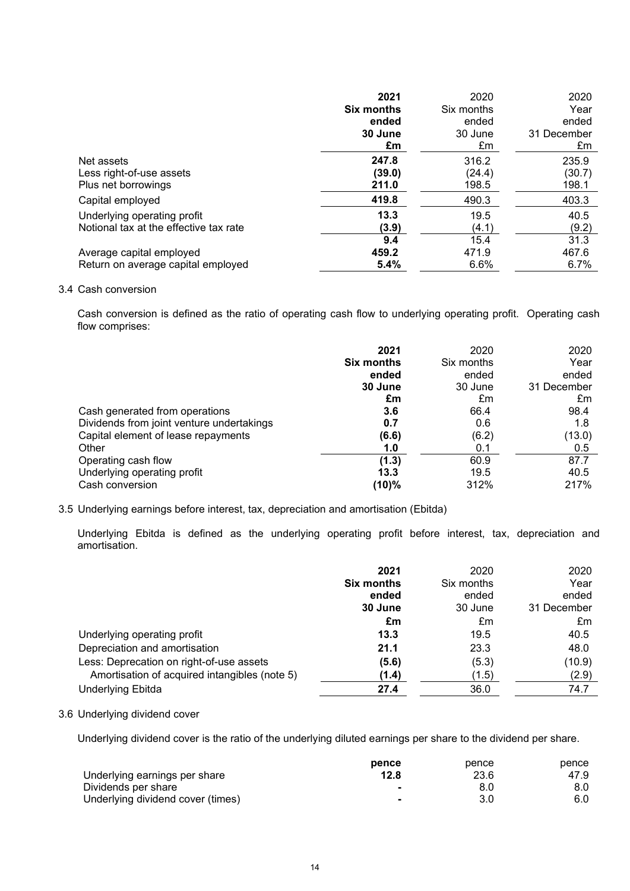|                                        | 2021              | 2020       | 2020        |
|----------------------------------------|-------------------|------------|-------------|
|                                        | <b>Six months</b> | Six months | Year        |
|                                        | ended             | ended      | ended       |
|                                        | 30 June           | 30 June    | 31 December |
|                                        | £m                | £m         | £m          |
| Net assets                             | 247.8             | 316.2      | 235.9       |
| Less right-of-use assets               | (39.0)            | (24.4)     | (30.7)      |
| Plus net borrowings                    | 211.0             | 198.5      | 198.1       |
| Capital employed                       | 419.8             | 490.3      | 403.3       |
| Underlying operating profit            | 13.3              | 19.5       | 40.5        |
| Notional tax at the effective tax rate | (3.9)             | (4.1)      | (9.2)       |
|                                        | 9.4               | 15.4       | 31.3        |
| Average capital employed               | 459.2             | 471.9      | 467.6       |
| Return on average capital employed     | 5.4%              | 6.6%       | 6.7%        |

## 3.4 Cash conversion

Cash conversion is defined as the ratio of operating cash flow to underlying operating profit. Operating cash flow comprises:

|                                           | 2021<br><b>Six months</b><br>ended<br>30 June<br>£m | 2020<br>Six months<br>ended<br>30 June<br>£m | 2020<br>Year<br>ended<br>31 December<br>£m |
|-------------------------------------------|-----------------------------------------------------|----------------------------------------------|--------------------------------------------|
| Cash generated from operations            | 3.6                                                 | 66.4                                         | 98.4                                       |
| Dividends from joint venture undertakings | 0.7                                                 | 0.6                                          | 1.8                                        |
| Capital element of lease repayments       | (6.6)                                               | (6.2)                                        | (13.0)                                     |
| Other                                     | 1.0                                                 | 0.1                                          | 0.5                                        |
| Operating cash flow                       | (1.3)                                               | 60.9                                         | 87.7                                       |
| Underlying operating profit               | 13.3                                                | 19.5                                         | 40.5                                       |
| Cash conversion                           | (10)%                                               | 312%                                         | 217%                                       |

# 3.5 Underlying earnings before interest, tax, depreciation and amortisation (Ebitda)

Underlying Ebitda is defined as the underlying operating profit before interest, tax, depreciation and amortisation.

|                                               | 2021              | 2020       | 2020        |
|-----------------------------------------------|-------------------|------------|-------------|
|                                               | <b>Six months</b> | Six months | Year        |
|                                               | ended             | ended      | ended       |
|                                               | 30 June           | 30 June    | 31 December |
|                                               | £m                | £m         | £m          |
| Underlying operating profit                   | 13.3              | 19.5       | 40.5        |
| Depreciation and amortisation                 | 21.1              | 23.3       | 48.0        |
| Less: Deprecation on right-of-use assets      | (5.6)             | (5.3)      | (10.9)      |
| Amortisation of acquired intangibles (note 5) | (1.4)             | (1.5)      | (2.9)       |
| Underlying Ebitda                             | 27.4              | 36.0       | 74.7        |

# 3.6 Underlying dividend cover

Underlying dividend cover is the ratio of the underlying diluted earnings per share to the dividend per share.

|                                   | pence          | pence | pence |
|-----------------------------------|----------------|-------|-------|
| Underlying earnings per share     | 12.8           | 23.6  | 47.9  |
| Dividends per share               |                |       | 8.0   |
| Underlying dividend cover (times) | $\blacksquare$ |       | 6.0   |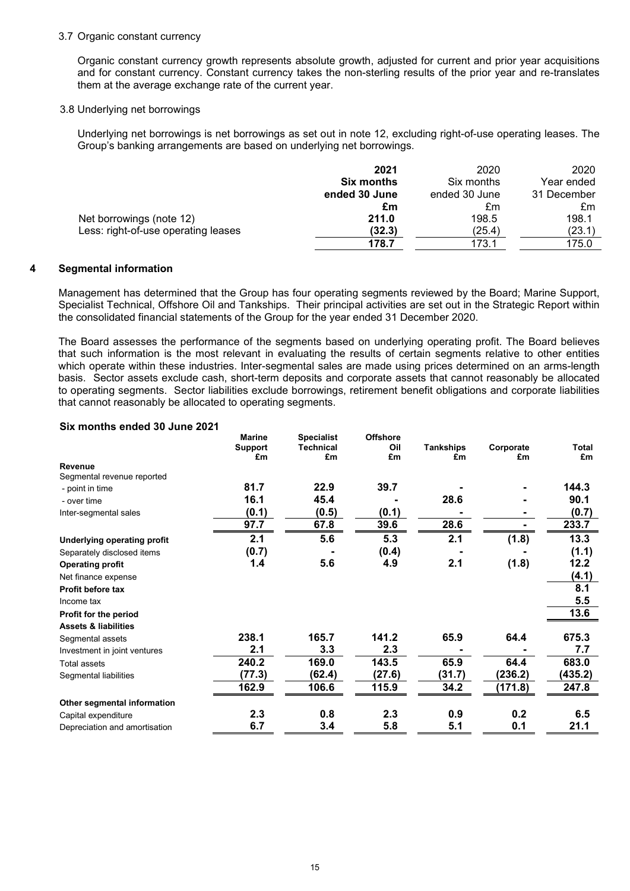#### 3.7 Organic constant currency

Organic constant currency growth represents absolute growth, adjusted for current and prior year acquisitions and for constant currency. Constant currency takes the non-sterling results of the prior year and re-translates them at the average exchange rate of the current year.

## 3.8 Underlying net borrowings

Underlying net borrowings is net borrowings as set out in note 12, excluding right-of-use operating leases. The Group's banking arrangements are based on underlying net borrowings.

|                                     | 2021              | 2020          | 2020        |
|-------------------------------------|-------------------|---------------|-------------|
|                                     | <b>Six months</b> | Six months    | Year ended  |
|                                     | ended 30 June     | ended 30 June | 31 December |
|                                     | £m                | £m            | £m          |
| Net borrowings (note 12)            | 211.0             | 198.5         | 198.1       |
| Less: right-of-use operating leases | (32.3)            | (25.4)        | (23.1)      |
|                                     | 178.7             | 173.1         | 175.0       |

#### **4 Segmental information**

Management has determined that the Group has four operating segments reviewed by the Board; Marine Support, Specialist Technical, Offshore Oil and Tankships. Their principal activities are set out in the Strategic Report within the consolidated financial statements of the Group for the year ended 31 December 2020.

The Board assesses the performance of the segments based on underlying operating profit. The Board believes that such information is the most relevant in evaluating the results of certain segments relative to other entities which operate within these industries. Inter-segmental sales are made using prices determined on an arms-length basis. Sector assets exclude cash, short-term deposits and corporate assets that cannot reasonably be allocated to operating segments. Sector liabilities exclude borrowings, retirement benefit obligations and corporate liabilities that cannot reasonably be allocated to operating segments.

## **Six months ended 30 June 2021**

|                                 | <b>Marine</b>  | <b>Specialist</b> | <b>Offshore</b> |                  |           |         |
|---------------------------------|----------------|-------------------|-----------------|------------------|-----------|---------|
|                                 | <b>Support</b> | <b>Technical</b>  | Oil             | <b>Tankships</b> | Corporate | Total   |
| Revenue                         | £m             | £m                | £m              | £m               | £m        | £m      |
| Segmental revenue reported      |                |                   |                 |                  |           |         |
| - point in time                 | 81.7           | 22.9              | 39.7            |                  |           | 144.3   |
| - over time                     | 16.1           | 45.4              |                 | 28.6             |           | 90.1    |
| Inter-segmental sales           | (0.1)          | (0.5)             | (0.1)           |                  |           | (0.7)   |
|                                 | 97.7           | 67.8              | 39.6            | 28.6             |           | 233.7   |
| Underlying operating profit     | 2.1            | 5.6               | 5.3             | 2.1              | (1.8)     | 13.3    |
| Separately disclosed items      | (0.7)          |                   | (0.4)           |                  |           | (1.1)   |
| <b>Operating profit</b>         | 1.4            | 5.6               | 4.9             | 2.1              | (1.8)     | 12.2    |
| Net finance expense             |                |                   |                 |                  |           | (4.1)   |
| Profit before tax               |                |                   |                 |                  |           | 8.1     |
| Income tax                      |                |                   |                 |                  |           | 5.5     |
| Profit for the period           |                |                   |                 |                  |           | 13.6    |
| <b>Assets &amp; liabilities</b> |                |                   |                 |                  |           |         |
| Segmental assets                | 238.1          | 165.7             | 141.2           | 65.9             | 64.4      | 675.3   |
| Investment in joint ventures    | 2.1            | 3.3               | 2.3             |                  |           | 7.7     |
| <b>Total assets</b>             | 240.2          | 169.0             | 143.5           | 65.9             | 64.4      | 683.0   |
| Segmental liabilities           | (77.3)         | (62.4)            | (27.6)          | (31.7)           | (236.2)   | (435.2) |
|                                 | 162.9          | 106.6             | 115.9           | 34.2             | (171.8)   | 247.8   |
| Other segmental information     |                |                   |                 |                  |           |         |
| Capital expenditure             | 2.3            | 0.8               | 2.3             | 0.9              | 0.2       | 6.5     |
| Depreciation and amortisation   | 6.7            | 3.4               | 5.8             | 5.1              | 0.1       | 21.1    |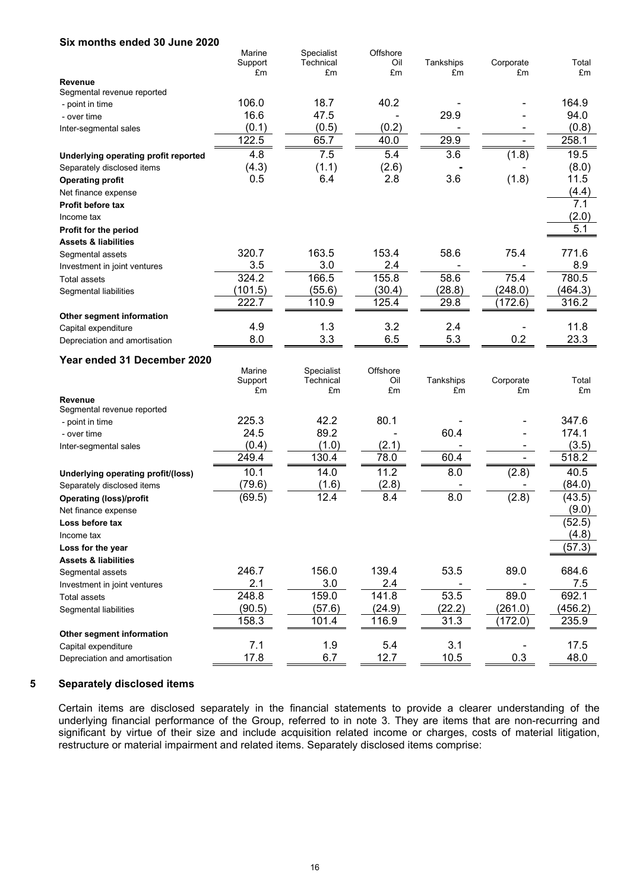| Six months ended 30 June 2020        |                   |                         |                 |           |                |         |
|--------------------------------------|-------------------|-------------------------|-----------------|-----------|----------------|---------|
|                                      | Marine            | Specialist              | Offshore        |           |                |         |
|                                      | Support           | Technical               | Oil             | Tankships | Corporate      | Total   |
| <b>Revenue</b>                       | £m                | £m                      | £m              | £m        | £m             | £m      |
| Segmental revenue reported           |                   |                         |                 |           |                |         |
| - point in time                      | 106.0             | 18.7                    | 40.2            |           |                | 164.9   |
| - over time                          | 16.6              | 47.5                    |                 | 29.9      |                | 94.0    |
| Inter-segmental sales                | (0.1)             | (0.5)                   | (0.2)           |           |                | (0.8)   |
|                                      | 122.5             | 65.7                    | 40.0            | 29.9      | $\blacksquare$ | 258.1   |
| Underlying operating profit reported | 4.8               | 7.5                     | 5.4             | 3.6       | (1.8)          | 19.5    |
| Separately disclosed items           | (4.3)             | (1.1)                   | (2.6)           |           |                | (8.0)   |
| <b>Operating profit</b>              | 0.5               | 6.4                     | 2.8             | 3.6       | (1.8)          | 11.5    |
| Net finance expense                  |                   |                         |                 |           |                | (4.4)   |
| <b>Profit before tax</b>             |                   |                         |                 |           |                | 7.1     |
| Income tax                           |                   |                         |                 |           |                | (2.0)   |
| Profit for the period                |                   |                         |                 |           |                | 5.1     |
| <b>Assets &amp; liabilities</b>      |                   |                         |                 |           |                |         |
| Segmental assets                     | 320.7             | 163.5                   | 153.4           | 58.6      | 75.4           | 771.6   |
| Investment in joint ventures         | 3.5               | 3.0                     | 2.4             |           |                | 8.9     |
| <b>Total assets</b>                  | 324.2             | 166.5                   | 155.8           | 58.6      | 75.4           | 780.5   |
| Segmental liabilities                | (101.5)           | (55.6)                  | (30.4)          | (28.8)    | (248.0)        | (464.3) |
|                                      | 222.7             | 110.9                   | 125.4           | 29.8      | (172.6)        | 316.2   |
| Other segment information            |                   |                         |                 |           |                |         |
| Capital expenditure                  | 4.9               | 1.3                     | 3.2             | 2.4       |                | 11.8    |
| Depreciation and amortisation        | 8.0               | 3.3                     | 6.5             | 5.3       | 0.2            | 23.3    |
|                                      |                   |                         |                 |           |                |         |
| Year ended 31 December 2020          |                   |                         |                 |           |                |         |
|                                      | Marine<br>Support | Specialist<br>Technical | Offshore<br>Oil | Tankships | Corporate      | Total   |
|                                      | £m                | £m                      | £m              | £m        | £m             | £m      |
| Revenue                              |                   |                         |                 |           |                |         |
| Segmental revenue reported           |                   |                         |                 |           |                |         |
| - point in time                      | 225.3             | 42.2                    | 80.1            |           |                | 347.6   |
| - over time                          | 24.5              | 89.2                    |                 | 60.4      |                | 174.1   |
| Inter-segmental sales                | (0.4)             | (1.0)                   | (2.1)           |           |                | (3.5)   |
|                                      | 249.4             | 130.4                   | 78.0            | 60.4      | $\blacksquare$ | 518.2   |
| Underlying operating profit/(loss)   | 10.1              | 14.0                    | 11.2            | 8.0       | (2.8)          | 40.5    |
| Separately disclosed items           | (79.6)            | (1.6)                   | (2.8)           |           |                | (84.0)  |
| <b>Operating (loss)/profit</b>       | (69.5)            | 12.4                    | 8.4             | 8.0       | (2.8)          | (43.5)  |
| Net finance expense                  |                   |                         |                 |           |                | (9.0)   |
| Loss before tax                      |                   |                         |                 |           |                | (52.5)  |
| Income tax                           |                   |                         |                 |           |                | (4.8)   |
| Loss for the year                    |                   |                         |                 |           |                | (57.3)  |
| <b>Assets &amp; liabilities</b>      |                   |                         |                 |           |                |         |
| Segmental assets                     | 246.7             | 156.0                   | 139.4           | 53.5      | 89.0           | 684.6   |
| Investment in joint ventures         | 2.1               | 3.0                     | 2.4             |           |                | 7.5     |
| Total assets                         | 248.8             | 159.0                   | 141.8           | 53.5      | 89.0           | 692.1   |
| Segmental liabilities                | (90.5)            | (57.6)                  | (24.9)          | (22.2)    | (261.0)        | (456.2) |
|                                      | 158.3             | 101.4                   | 116.9           | 31.3      | (172.0)        | 235.9   |
| Other segment information            |                   |                         |                 |           |                |         |
| Capital expenditure                  | 7.1               | 1.9                     | 5.4             | 3.1       |                | 17.5    |
| Depreciation and amortisation        | 17.8              | 6.7                     | 12.7            | 10.5      | 0.3            | 48.0    |

## **5 Separately disclosed items**

Certain items are disclosed separately in the financial statements to provide a clearer understanding of the underlying financial performance of the Group, referred to in note 3. They are items that are non-recurring and significant by virtue of their size and include acquisition related income or charges, costs of material litigation, restructure or material impairment and related items. Separately disclosed items comprise: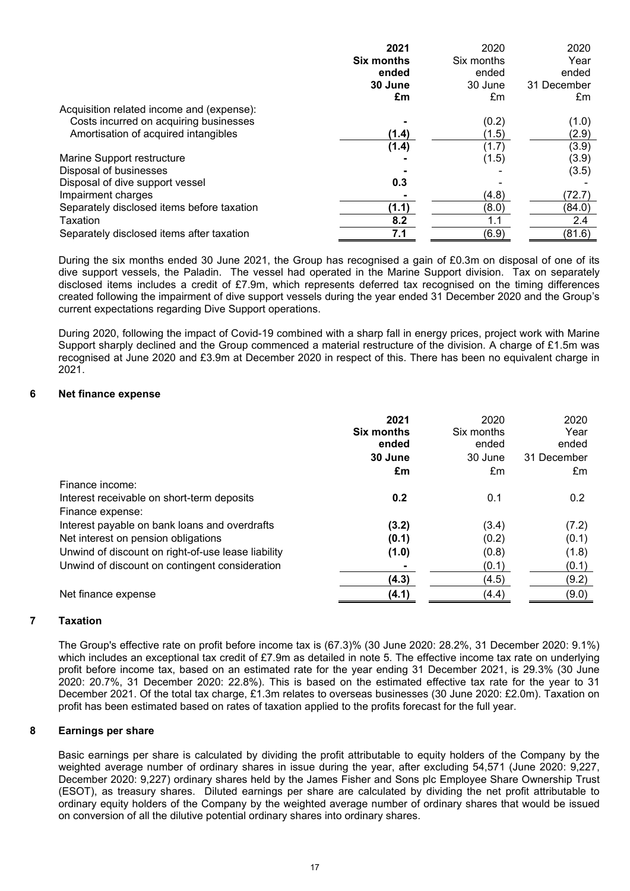|                                            | 2021              | 2020       | 2020        |
|--------------------------------------------|-------------------|------------|-------------|
|                                            | <b>Six months</b> | Six months | Year        |
|                                            | ended             | ended      | ended       |
|                                            | 30 June           | 30 June    | 31 December |
|                                            | £m                | £m         | £m          |
| Acquisition related income and (expense):  |                   |            |             |
| Costs incurred on acquiring businesses     |                   | (0.2)      | (1.0)       |
| Amortisation of acquired intangibles       | (1.4)             | (1.5)      | (2.9)       |
|                                            | (1.4)             | (1.7)      | (3.9)       |
| Marine Support restructure                 |                   | (1.5)      | (3.9)       |
| Disposal of businesses                     |                   |            | (3.5)       |
| Disposal of dive support vessel            | 0.3               |            |             |
| Impairment charges                         |                   | (4.8)      | (72.7)      |
| Separately disclosed items before taxation | (1.1)             | (8.0)      | (84.0)      |
| Taxation                                   | 8.2               | 1.1        | 2.4         |
| Separately disclosed items after taxation  | 7.1               | (6.9)      | (81.6)      |

During the six months ended 30 June 2021, the Group has recognised a gain of £0.3m on disposal of one of its dive support vessels, the Paladin. The vessel had operated in the Marine Support division. Tax on separately disclosed items includes a credit of £7.9m, which represents deferred tax recognised on the timing differences created following the impairment of dive support vessels during the year ended 31 December 2020 and the Group's current expectations regarding Dive Support operations.

During 2020, following the impact of Covid-19 combined with a sharp fall in energy prices, project work with Marine Support sharply declined and the Group commenced a material restructure of the division. A charge of £1.5m was recognised at June 2020 and £3.9m at December 2020 in respect of this. There has been no equivalent charge in 2021.

## **6 Net finance expense**

|                                                    | 2021<br><b>Six months</b><br>ended | 2020<br>Six months<br>ended<br>30 June | 2020<br>Year<br>ended<br>31 December |
|----------------------------------------------------|------------------------------------|----------------------------------------|--------------------------------------|
|                                                    | 30 June                            |                                        |                                      |
| Finance income:                                    | £m                                 | £m                                     | £m                                   |
| Interest receivable on short-term deposits         | 0.2                                | 0.1                                    | 0.2                                  |
| Finance expense:                                   |                                    |                                        |                                      |
| Interest payable on bank loans and overdrafts      | (3.2)                              | (3.4)                                  | (7.2)                                |
| Net interest on pension obligations                | (0.1)                              | (0.2)                                  | (0.1)                                |
| Unwind of discount on right-of-use lease liability | (1.0)                              | (0.8)                                  | (1.8)                                |
| Unwind of discount on contingent consideration     |                                    | (0.1)                                  | (0.1)                                |
|                                                    | (4.3)                              | (4.5)                                  | (9.2)                                |
| Net finance expense                                | (4.1)                              | (4.4)                                  | (9.0)                                |

# **7 Taxation**

The Group's effective rate on profit before income tax is (67.3)% (30 June 2020: 28.2%, 31 December 2020: 9.1%) which includes an exceptional tax credit of £7.9m as detailed in note 5. The effective income tax rate on underlying profit before income tax, based on an estimated rate for the year ending 31 December 2021, is 29.3% (30 June 2020: 20.7%, 31 December 2020: 22.8%). This is based on the estimated effective tax rate for the year to 31 December 2021. Of the total tax charge, £1.3m relates to overseas businesses (30 June 2020: £2.0m). Taxation on profit has been estimated based on rates of taxation applied to the profits forecast for the full year.

## **8 Earnings per share**

Basic earnings per share is calculated by dividing the profit attributable to equity holders of the Company by the weighted average number of ordinary shares in issue during the year, after excluding 54,571 (June 2020: 9,227, December 2020: 9,227) ordinary shares held by the James Fisher and Sons plc Employee Share Ownership Trust (ESOT), as treasury shares. Diluted earnings per share are calculated by dividing the net profit attributable to ordinary equity holders of the Company by the weighted average number of ordinary shares that would be issued on conversion of all the dilutive potential ordinary shares into ordinary shares.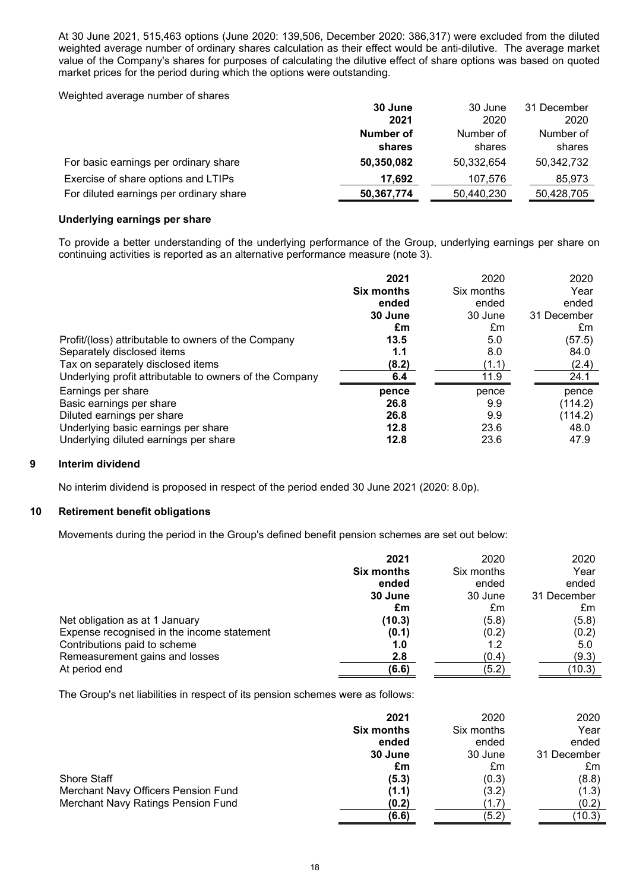At 30 June 2021, 515,463 options (June 2020: 139,506, December 2020: 386,317) were excluded from the diluted weighted average number of ordinary shares calculation as their effect would be anti-dilutive. The average market value of the Company's shares for purposes of calculating the dilutive effect of share options was based on quoted market prices for the period during which the options were outstanding.

Weighted average number of shares

|                                         | 30 June    | 30 June    | 31 December |
|-----------------------------------------|------------|------------|-------------|
|                                         | 2021       | 2020       | 2020        |
|                                         | Number of  | Number of  | Number of   |
|                                         | shares     | shares     | shares      |
| For basic earnings per ordinary share   | 50,350,082 | 50,332,654 | 50,342,732  |
| Exercise of share options and LTIPs     | 17.692     | 107,576    | 85.973      |
| For diluted earnings per ordinary share | 50,367,774 | 50,440,230 | 50,428,705  |

# **Underlying earnings per share**

To provide a better understanding of the underlying performance of the Group, underlying earnings per share on continuing activities is reported as an alternative performance measure (note 3).

|                                                         | 2021              | 2020       | 2020        |
|---------------------------------------------------------|-------------------|------------|-------------|
|                                                         | <b>Six months</b> | Six months | Year        |
|                                                         | ended             | ended      | ended       |
|                                                         | 30 June           | 30 June    | 31 December |
|                                                         | £m                | £m         | £m          |
| Profit/(loss) attributable to owners of the Company     | 13.5              | 5.0        | (57.5)      |
| Separately disclosed items                              | 1.1               | 8.0        | 84.0        |
| Tax on separately disclosed items                       | (8.2)             | (1.1)      | (2.4)       |
| Underlying profit attributable to owners of the Company | 6.4               | 11.9       | 24.1        |
| Earnings per share                                      | pence             | pence      | pence       |
| Basic earnings per share                                | 26.8              | 9.9        | (114.2)     |
| Diluted earnings per share                              | 26.8              | 9.9        | (114.2)     |
| Underlying basic earnings per share                     | 12.8              | 23.6       | 48.0        |
| Underlying diluted earnings per share                   | 12.8              | 23.6       | 47.9        |

## **9 Interim dividend**

No interim dividend is proposed in respect of the period ended 30 June 2021 (2020: 8.0p).

# **10 Retirement benefit obligations**

Movements during the period in the Group's defined benefit pension schemes are set out below:

|                                            | 2021              | 2020       | 2020        |
|--------------------------------------------|-------------------|------------|-------------|
|                                            | <b>Six months</b> | Six months | Year        |
|                                            | ended             | ended      | ended       |
|                                            | 30 June           | 30 June    | 31 December |
|                                            | £m                | £m         | £m          |
| Net obligation as at 1 January             | (10.3)            | (5.8)      | (5.8)       |
| Expense recognised in the income statement | (0.1)             | (0.2)      | (0.2)       |
| Contributions paid to scheme               | 1.0               | 1.2        | 5.0         |
| Remeasurement gains and losses             | 2.8               | (0.4)      | (9.3)       |
| At period end                              | (6.6)             | (5.2)      | (10.3)      |

The Group's net liabilities in respect of its pension schemes were as follows:

|                                     | 2021              | 2020       | 2020        |
|-------------------------------------|-------------------|------------|-------------|
|                                     | <b>Six months</b> | Six months | Year        |
|                                     | ended             | ended      | ended       |
|                                     | 30 June           | 30 June    | 31 December |
|                                     | £m                | £m         | £m          |
| Shore Staff                         | (5.3)             | (0.3)      | (8.8)       |
| Merchant Navy Officers Pension Fund | (1.1)             | (3.2)      | (1.3)       |
| Merchant Navy Ratings Pension Fund  | (0.2)             | (1.7)      | (0.2)       |
|                                     | (6.6)             | (5.2)      | (10.3)      |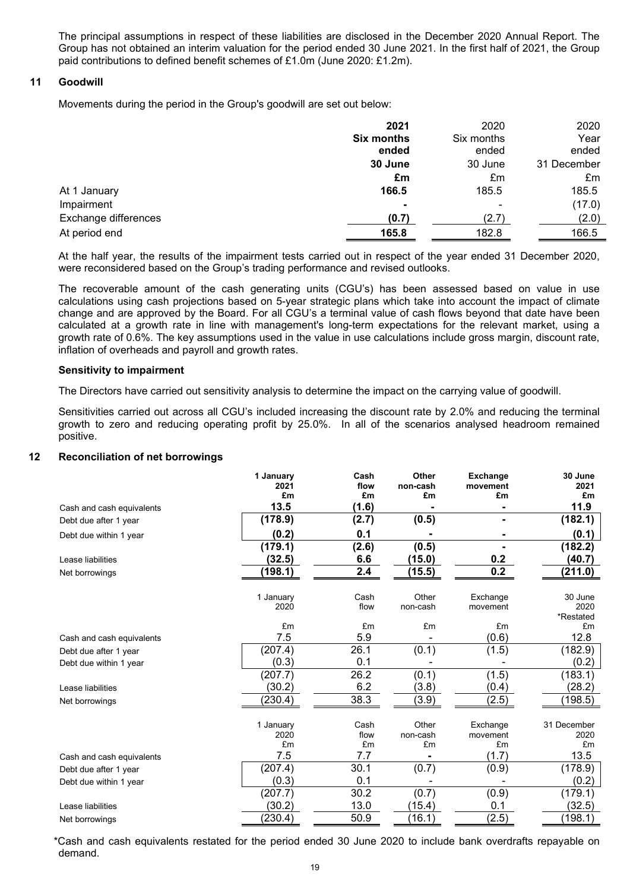The principal assumptions in respect of these liabilities are disclosed in the December 2020 Annual Report. The Group has not obtained an interim valuation for the period ended 30 June 2021. In the first half of 2021, the Group paid contributions to defined benefit schemes of £1.0m (June 2020: £1.2m).

## **11 Goodwill**

Movements during the period in the Group's goodwill are set out below:

|                      | 2021              | 2020       | 2020        |
|----------------------|-------------------|------------|-------------|
|                      | <b>Six months</b> | Six months | Year        |
|                      | ended             | ended      | ended       |
|                      | 30 June           | 30 June    | 31 December |
|                      | £m                | £m         | £m          |
| At 1 January         | 166.5             | 185.5      | 185.5       |
| Impairment           | $\blacksquare$    |            | (17.0)      |
| Exchange differences | (0.7)             | (2.7)      | (2.0)       |
| At period end        | 165.8             | 182.8      | 166.5       |

At the half year, the results of the impairment tests carried out in respect of the year ended 31 December 2020, were reconsidered based on the Group's trading performance and revised outlooks.

The recoverable amount of the cash generating units (CGU's) has been assessed based on value in use calculations using cash projections based on 5-year strategic plans which take into account the impact of climate change and are approved by the Board. For all CGU's a terminal value of cash flows beyond that date have been calculated at a growth rate in line with management's long-term expectations for the relevant market, using a growth rate of 0.6%. The key assumptions used in the value in use calculations include gross margin, discount rate, inflation of overheads and payroll and growth rates.

## **Sensitivity to impairment**

The Directors have carried out sensitivity analysis to determine the impact on the carrying value of goodwill.

Sensitivities carried out across all CGU's included increasing the discount rate by 2.0% and reducing the terminal growth to zero and reducing operating profit by 25.0%. In all of the scenarios analysed headroom remained positive.

# **12 Reconciliation of net borrowings**

|                           | 1 January<br>2021 | Cash<br>flow | Other<br>non-cash | <b>Exchange</b><br>movement | 30 June<br>2021 |
|---------------------------|-------------------|--------------|-------------------|-----------------------------|-----------------|
|                           | £m                | £m           | £m                | £m                          | £m              |
| Cash and cash equivalents | 13.5              | (1.6)        |                   |                             | 11.9            |
| Debt due after 1 year     | (178.9)           | (2.7)        | (0.5)             |                             | (182.1)         |
| Debt due within 1 year    | (0.2)             | 0.1          |                   |                             | (0.1)           |
|                           | (179.1)           | (2.6)        | (0.5)             |                             | (182.2)         |
| Lease liabilities         | (32.5)            | 6.6          | (15.0)            | 0.2                         | (40.7)          |
| Net borrowings            | (198.1)           | 2.4          | (15.5)            | 0.2                         | (211.0)         |
|                           |                   |              |                   |                             |                 |
|                           | 1 January         | Cash         | Other             | Exchange                    | 30 June         |
|                           | 2020              | flow         | non-cash          | movement                    | 2020            |
|                           | £m                | £m           | £m                | £m                          | *Restated<br>£m |
| Cash and cash equivalents | 7.5               | 5.9          |                   | (0.6)                       | 12.8            |
| Debt due after 1 year     | (207.4)           | 26.1         | (0.1)             | (1.5)                       | (182.9)         |
| Debt due within 1 year    | (0.3)             | 0.1          |                   |                             | (0.2)           |
|                           | (207.7)           | 26.2         | (0.1)             | (1.5)                       | (183.1)         |
| Lease liabilities         | (30.2)            | 6.2          | (3.8)             | (0.4)                       | (28.2)          |
| Net borrowings            | (230.4)           | 38.3         | (3.9)             | (2.5)                       | (198.5)         |
|                           |                   |              |                   |                             |                 |
|                           | 1 January         | Cash         | Other             | Exchange                    | 31 December     |
|                           | 2020              | flow         | non-cash          | movement                    | 2020            |
|                           | £m                | £m           | £m                | £m                          | £m              |
| Cash and cash equivalents | 7.5               | 7.7          |                   | (1.7)                       | 13.5            |
| Debt due after 1 year     | (207.4)           | 30.1         | (0.7)             | (0.9)                       | (178.9)         |
| Debt due within 1 year    | (0.3)             | 0.1          |                   |                             | (0.2)           |
|                           | (207.7)           | 30.2         | (0.7)             | (0.9)                       | (179.1)         |
| Lease liabilities         | (30.2)            | 13.0         | (15.4)            | 0.1                         | (32.5)          |
| Net borrowings            | (230.4)           | 50.9         | (16.1)            | (2.5)                       | (198.1)         |

\*Cash and cash equivalents restated for the period ended 30 June 2020 to include bank overdrafts repayable on demand.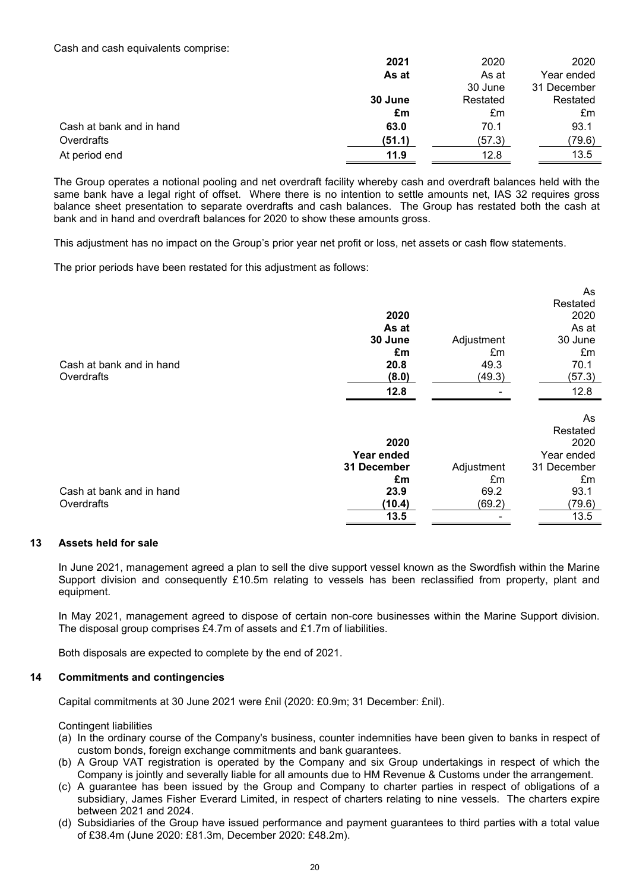Cash and cash equivalents comprise:

|                          | 2021    | 2020     | 2020        |
|--------------------------|---------|----------|-------------|
|                          | As at   | As at    | Year ended  |
|                          |         | 30 June  | 31 December |
|                          | 30 June | Restated | Restated    |
|                          | £m      | £m       | £m          |
| Cash at bank and in hand | 63.0    | 70.1     | 93.1        |
| Overdrafts               | (51.1)  | (57.3)   | (79.6)      |
| At period end            | 11.9    | 12.8     | 13.5        |

The Group operates a notional pooling and net overdraft facility whereby cash and overdraft balances held with the same bank have a legal right of offset. Where there is no intention to settle amounts net, IAS 32 requires gross balance sheet presentation to separate overdrafts and cash balances. The Group has restated both the cash at bank and in hand and overdraft balances for 2020 to show these amounts gross.

This adjustment has no impact on the Group's prior year net profit or loss, net assets or cash flow statements.

The prior periods have been restated for this adjustment as follows:

| 2020<br>As at<br>30 June<br>Adjustment<br>£m<br>£m<br>49.3<br>70.1<br>Cash at bank and in hand<br>20.8<br>Overdrafts<br>(8.0)<br>(49.3)<br>12.8<br>12.8<br>2020<br>Year ended<br>Adjustment<br>31 December<br>£m<br>£m |  | As          |
|------------------------------------------------------------------------------------------------------------------------------------------------------------------------------------------------------------------------|--|-------------|
|                                                                                                                                                                                                                        |  | Restated    |
|                                                                                                                                                                                                                        |  | 2020        |
|                                                                                                                                                                                                                        |  | As at       |
|                                                                                                                                                                                                                        |  | 30 June     |
|                                                                                                                                                                                                                        |  | £m          |
|                                                                                                                                                                                                                        |  |             |
|                                                                                                                                                                                                                        |  | (57.3)      |
|                                                                                                                                                                                                                        |  |             |
|                                                                                                                                                                                                                        |  |             |
|                                                                                                                                                                                                                        |  | As          |
|                                                                                                                                                                                                                        |  | Restated    |
|                                                                                                                                                                                                                        |  | 2020        |
|                                                                                                                                                                                                                        |  | Year ended  |
|                                                                                                                                                                                                                        |  | 31 December |
|                                                                                                                                                                                                                        |  | £m          |
| Cash at bank and in hand<br>23.9<br>69.2<br>93.1                                                                                                                                                                       |  |             |
| Overdrafts<br>(10.4)<br>(69.2)                                                                                                                                                                                         |  | (79.6)      |
| 13.5<br>13.5                                                                                                                                                                                                           |  |             |

## **13 Assets held for sale**

In June 2021, management agreed a plan to sell the dive support vessel known as the Swordfish within the Marine Support division and consequently £10.5m relating to vessels has been reclassified from property, plant and equipment.

In May 2021, management agreed to dispose of certain non-core businesses within the Marine Support division. The disposal group comprises £4.7m of assets and £1.7m of liabilities.

Both disposals are expected to complete by the end of 2021.

## **14 Commitments and contingencies**

Capital commitments at 30 June 2021 were £nil (2020: £0.9m; 31 December: £nil).

Contingent liabilities

- (a) In the ordinary course of the Company's business, counter indemnities have been given to banks in respect of custom bonds, foreign exchange commitments and bank guarantees.
- (b) A Group VAT registration is operated by the Company and six Group undertakings in respect of which the Company is jointly and severally liable for all amounts due to HM Revenue & Customs under the arrangement.
- (c) A guarantee has been issued by the Group and Company to charter parties in respect of obligations of a subsidiary, James Fisher Everard Limited, in respect of charters relating to nine vessels. The charters expire between 2021 and 2024.
- (d) Subsidiaries of the Group have issued performance and payment guarantees to third parties with a total value of £38.4m (June 2020: £81.3m, December 2020: £48.2m).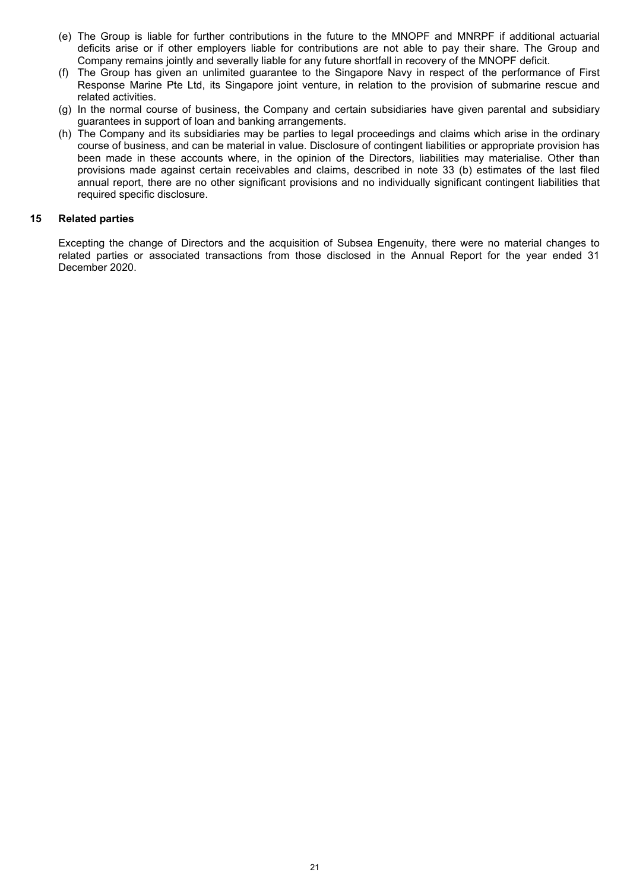- (e) The Group is liable for further contributions in the future to the MNOPF and MNRPF if additional actuarial deficits arise or if other employers liable for contributions are not able to pay their share. The Group and Company remains jointly and severally liable for any future shortfall in recovery of the MNOPF deficit.
- (f) The Group has given an unlimited guarantee to the Singapore Navy in respect of the performance of First Response Marine Pte Ltd, its Singapore joint venture, in relation to the provision of submarine rescue and related activities.
- (g) In the normal course of business, the Company and certain subsidiaries have given parental and subsidiary guarantees in support of loan and banking arrangements.
- (h) The Company and its subsidiaries may be parties to legal proceedings and claims which arise in the ordinary course of business, and can be material in value. Disclosure of contingent liabilities or appropriate provision has been made in these accounts where, in the opinion of the Directors, liabilities may materialise. Other than provisions made against certain receivables and claims, described in note 33 (b) estimates of the last filed annual report, there are no other significant provisions and no individually significant contingent liabilities that required specific disclosure.

## **15 Related parties**

Excepting the change of Directors and the acquisition of Subsea Engenuity, there were no material changes to related parties or associated transactions from those disclosed in the Annual Report for the year ended 31 December 2020.